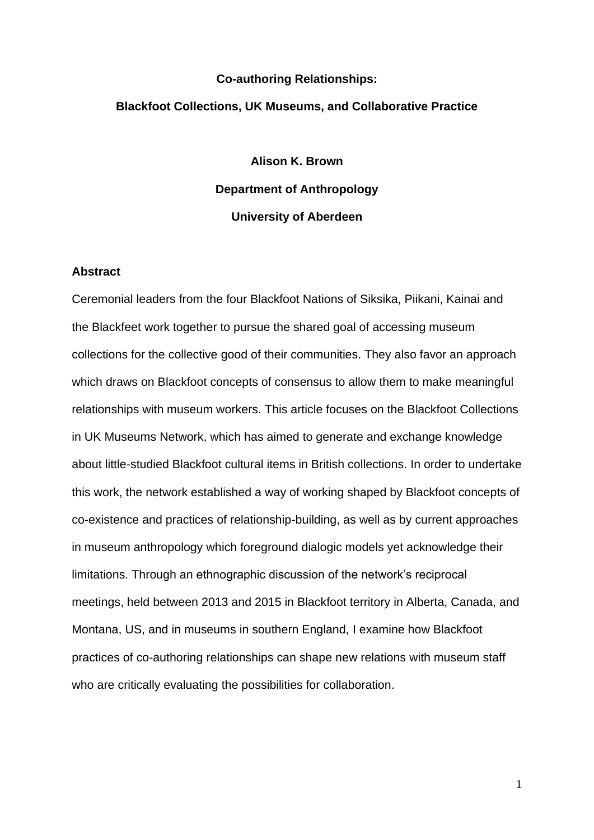### **Co-authoring Relationships:**

#### **Blackfoot Collections, UK Museums, and Collaborative Practice**

**Alison K. Brown Department of Anthropology University of Aberdeen**

### **Abstract**

Ceremonial leaders from the four Blackfoot Nations of Siksika, Piikani, Kainai and the Blackfeet work together to pursue the shared goal of accessing museum collections for the collective good of their communities. They also favor an approach which draws on Blackfoot concepts of consensus to allow them to make meaningful relationships with museum workers. This article focuses on the Blackfoot Collections in UK Museums Network, which has aimed to generate and exchange knowledge about little-studied Blackfoot cultural items in British collections. In order to undertake this work, the network established a way of working shaped by Blackfoot concepts of co-existence and practices of relationship-building, as well as by current approaches in museum anthropology which foreground dialogic models yet acknowledge their limitations. Through an ethnographic discussion of the network's reciprocal meetings, held between 2013 and 2015 in Blackfoot territory in Alberta, Canada, and Montana, US, and in museums in southern England, I examine how Blackfoot practices of co-authoring relationships can shape new relations with museum staff who are critically evaluating the possibilities for collaboration.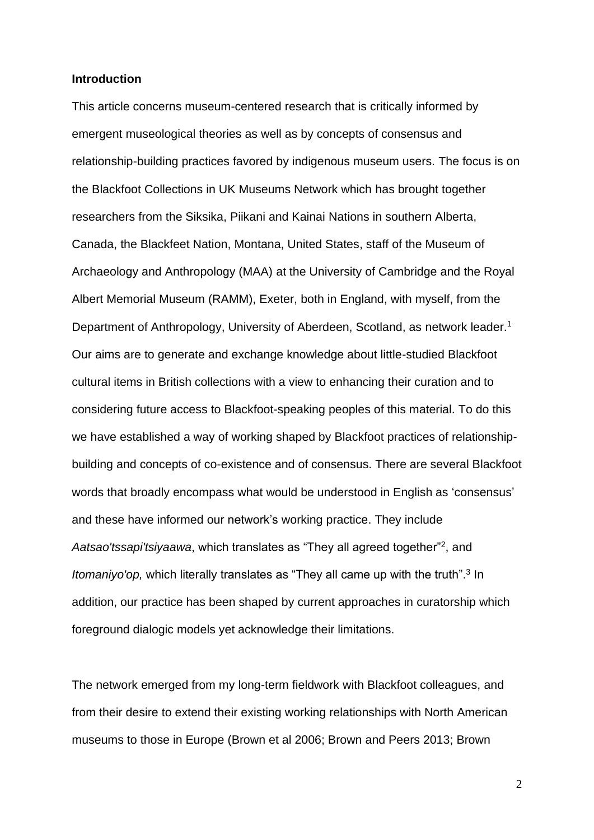### **Introduction**

This article concerns museum-centered research that is critically informed by emergent museological theories as well as by concepts of consensus and relationship-building practices favored by indigenous museum users. The focus is on the Blackfoot Collections in UK Museums Network which has brought together researchers from the Siksika, Piikani and Kainai Nations in southern Alberta, Canada, the Blackfeet Nation, Montana, United States, staff of the Museum of Archaeology and Anthropology (MAA) at the University of Cambridge and the Royal Albert Memorial Museum (RAMM), Exeter, both in England, with myself, from the Department of Anthropology, University of Aberdeen, Scotland, as network leader.<sup>1</sup> Our aims are to generate and exchange knowledge about little-studied Blackfoot cultural items in British collections with a view to enhancing their curation and to considering future access to Blackfoot-speaking peoples of this material. To do this we have established a way of working shaped by Blackfoot practices of relationshipbuilding and concepts of co-existence and of consensus. There are several Blackfoot words that broadly encompass what would be understood in English as 'consensus' and these have informed our network's working practice. They include Aatsao'tssapi'tsiyaawa, which translates as "They all agreed together"<sup>2</sup>, and *Itomaniyo'op,* which literally translates as "They all came up with the truth".<sup>3</sup> In addition, our practice has been shaped by current approaches in curatorship which foreground dialogic models yet acknowledge their limitations.

The network emerged from my long-term fieldwork with Blackfoot colleagues, and from their desire to extend their existing working relationships with North American museums to those in Europe (Brown et al 2006; Brown and Peers 2013; Brown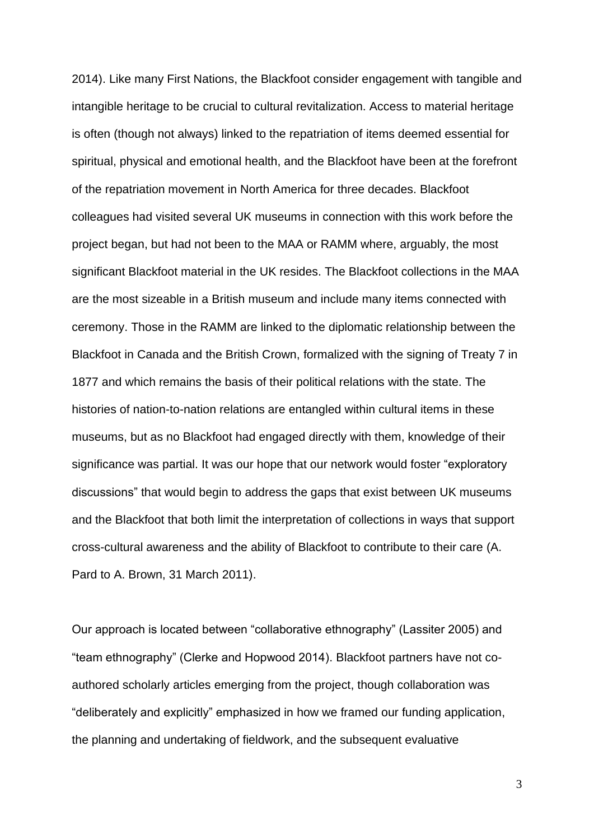2014). Like many First Nations, the Blackfoot consider engagement with tangible and intangible heritage to be crucial to cultural revitalization. Access to material heritage is often (though not always) linked to the repatriation of items deemed essential for spiritual, physical and emotional health, and the Blackfoot have been at the forefront of the repatriation movement in North America for three decades. Blackfoot colleagues had visited several UK museums in connection with this work before the project began, but had not been to the MAA or RAMM where, arguably, the most significant Blackfoot material in the UK resides. The Blackfoot collections in the MAA are the most sizeable in a British museum and include many items connected with ceremony. Those in the RAMM are linked to the diplomatic relationship between the Blackfoot in Canada and the British Crown, formalized with the signing of Treaty 7 in 1877 and which remains the basis of their political relations with the state. The histories of nation-to-nation relations are entangled within cultural items in these museums, but as no Blackfoot had engaged directly with them, knowledge of their significance was partial. It was our hope that our network would foster "exploratory discussions" that would begin to address the gaps that exist between UK museums and the Blackfoot that both limit the interpretation of collections in ways that support cross-cultural awareness and the ability of Blackfoot to contribute to their care (A. Pard to A. Brown, 31 March 2011).

Our approach is located between "collaborative ethnography" (Lassiter 2005) and "team ethnography" (Clerke and Hopwood 2014). Blackfoot partners have not coauthored scholarly articles emerging from the project, though collaboration was "deliberately and explicitly" emphasized in how we framed our funding application, the planning and undertaking of fieldwork, and the subsequent evaluative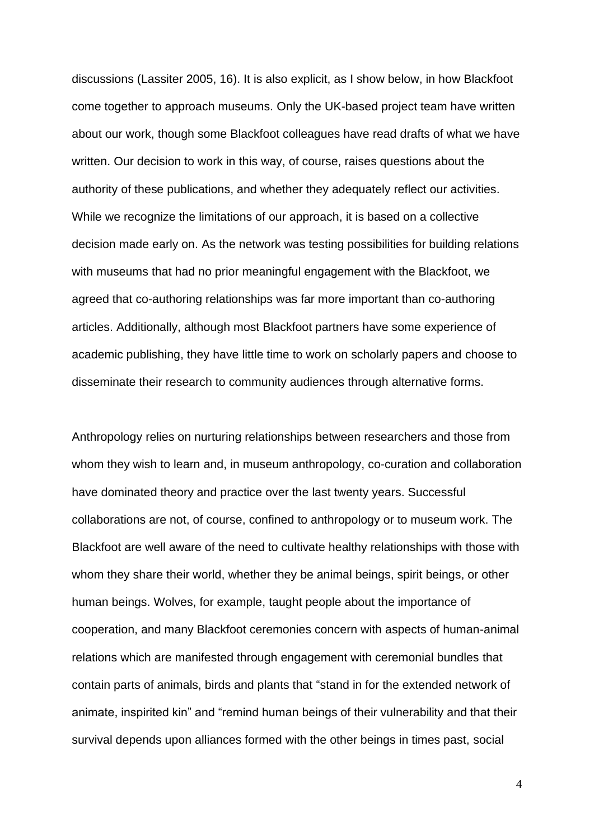discussions (Lassiter 2005, 16). It is also explicit, as I show below, in how Blackfoot come together to approach museums. Only the UK-based project team have written about our work, though some Blackfoot colleagues have read drafts of what we have written. Our decision to work in this way, of course, raises questions about the authority of these publications, and whether they adequately reflect our activities. While we recognize the limitations of our approach, it is based on a collective decision made early on. As the network was testing possibilities for building relations with museums that had no prior meaningful engagement with the Blackfoot, we agreed that co-authoring relationships was far more important than co-authoring articles. Additionally, although most Blackfoot partners have some experience of academic publishing, they have little time to work on scholarly papers and choose to disseminate their research to community audiences through alternative forms.

Anthropology relies on nurturing relationships between researchers and those from whom they wish to learn and, in museum anthropology, co-curation and collaboration have dominated theory and practice over the last twenty years. Successful collaborations are not, of course, confined to anthropology or to museum work. The Blackfoot are well aware of the need to cultivate healthy relationships with those with whom they share their world, whether they be animal beings, spirit beings, or other human beings. Wolves, for example, taught people about the importance of cooperation, and many Blackfoot ceremonies concern with aspects of human-animal relations which are manifested through engagement with ceremonial bundles that contain parts of animals, birds and plants that "stand in for the extended network of animate, inspirited kin" and "remind human beings of their vulnerability and that their survival depends upon alliances formed with the other beings in times past, social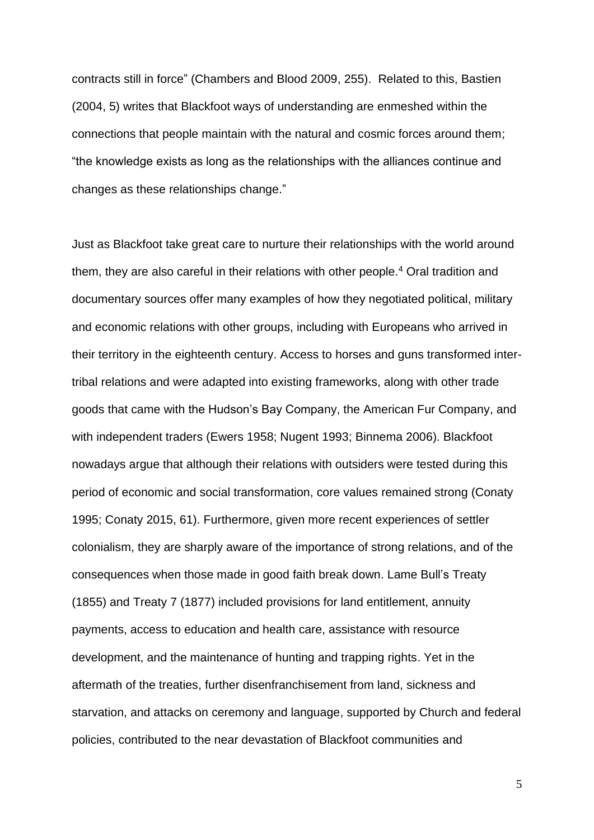contracts still in force" (Chambers and Blood 2009, 255). Related to this, Bastien (2004, 5) writes that Blackfoot ways of understanding are enmeshed within the connections that people maintain with the natural and cosmic forces around them; "the knowledge exists as long as the relationships with the alliances continue and changes as these relationships change."

Just as Blackfoot take great care to nurture their relationships with the world around them, they are also careful in their relations with other people.<sup>4</sup> Oral tradition and documentary sources offer many examples of how they negotiated political, military and economic relations with other groups, including with Europeans who arrived in their territory in the eighteenth century. Access to horses and guns transformed intertribal relations and were adapted into existing frameworks, along with other trade goods that came with the Hudson's Bay Company, the American Fur Company, and with independent traders (Ewers 1958; Nugent 1993; Binnema 2006). Blackfoot nowadays argue that although their relations with outsiders were tested during this period of economic and social transformation, core values remained strong (Conaty 1995; Conaty 2015, 61). Furthermore, given more recent experiences of settler colonialism, they are sharply aware of the importance of strong relations, and of the consequences when those made in good faith break down. Lame Bull's Treaty (1855) and Treaty 7 (1877) included provisions for land entitlement, annuity payments, access to education and health care, assistance with resource development, and the maintenance of hunting and trapping rights. Yet in the aftermath of the treaties, further disenfranchisement from land, sickness and starvation, and attacks on ceremony and language, supported by Church and federal policies, contributed to the near devastation of Blackfoot communities and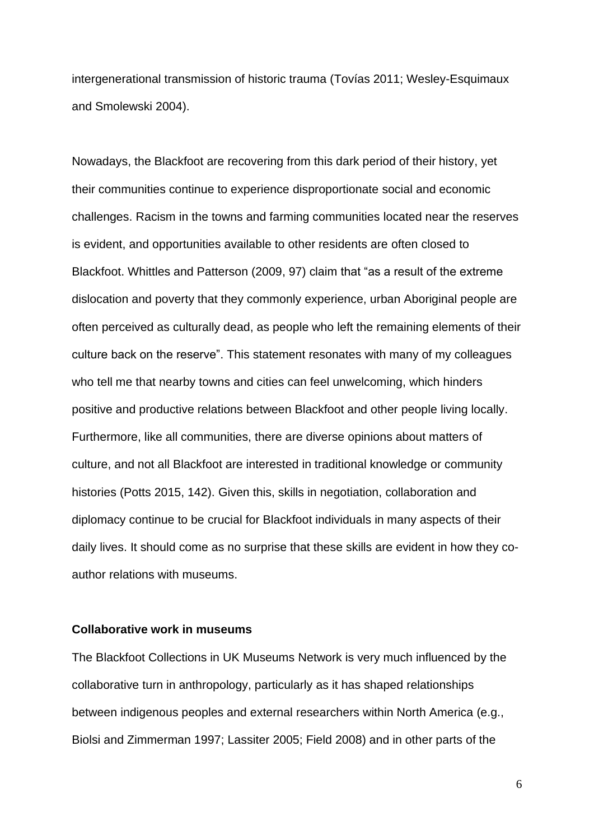intergenerational transmission of historic trauma (Tovías 2011; Wesley-Esquimaux and Smolewski 2004).

Nowadays, the Blackfoot are recovering from this dark period of their history, yet their communities continue to experience disproportionate social and economic challenges. Racism in the towns and farming communities located near the reserves is evident, and opportunities available to other residents are often closed to Blackfoot. Whittles and Patterson (2009, 97) claim that "as a result of the extreme dislocation and poverty that they commonly experience, urban Aboriginal people are often perceived as culturally dead, as people who left the remaining elements of their culture back on the reserve". This statement resonates with many of my colleagues who tell me that nearby towns and cities can feel unwelcoming, which hinders positive and productive relations between Blackfoot and other people living locally. Furthermore, like all communities, there are diverse opinions about matters of culture, and not all Blackfoot are interested in traditional knowledge or community histories (Potts 2015, 142). Given this, skills in negotiation, collaboration and diplomacy continue to be crucial for Blackfoot individuals in many aspects of their daily lives. It should come as no surprise that these skills are evident in how they coauthor relations with museums.

# **Collaborative work in museums**

The Blackfoot Collections in UK Museums Network is very much influenced by the collaborative turn in anthropology, particularly as it has shaped relationships between indigenous peoples and external researchers within North America (e.g., Biolsi and Zimmerman 1997; Lassiter 2005; Field 2008) and in other parts of the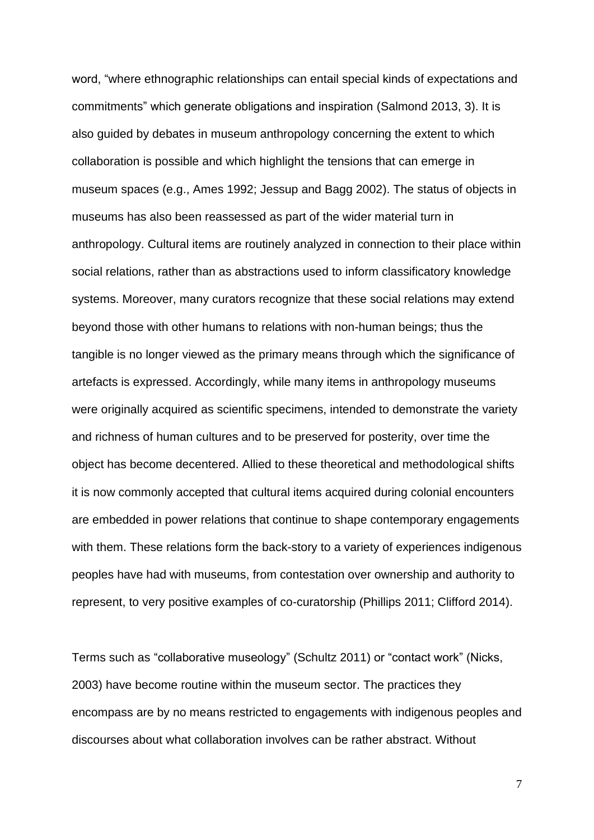word, "where ethnographic relationships can entail special kinds of expectations and commitments" which generate obligations and inspiration (Salmond 2013, 3). It is also guided by debates in museum anthropology concerning the extent to which collaboration is possible and which highlight the tensions that can emerge in museum spaces (e.g., Ames 1992; Jessup and Bagg 2002). The status of objects in museums has also been reassessed as part of the wider material turn in anthropology. Cultural items are routinely analyzed in connection to their place within social relations, rather than as abstractions used to inform classificatory knowledge systems. Moreover, many curators recognize that these social relations may extend beyond those with other humans to relations with non-human beings; thus the tangible is no longer viewed as the primary means through which the significance of artefacts is expressed. Accordingly, while many items in anthropology museums were originally acquired as scientific specimens, intended to demonstrate the variety and richness of human cultures and to be preserved for posterity, over time the object has become decentered. Allied to these theoretical and methodological shifts it is now commonly accepted that cultural items acquired during colonial encounters are embedded in power relations that continue to shape contemporary engagements with them. These relations form the back-story to a variety of experiences indigenous peoples have had with museums, from contestation over ownership and authority to represent, to very positive examples of co-curatorship (Phillips 2011; Clifford 2014).

Terms such as "collaborative museology" (Schultz 2011) or "contact work" (Nicks, 2003) have become routine within the museum sector. The practices they encompass are by no means restricted to engagements with indigenous peoples and discourses about what collaboration involves can be rather abstract. Without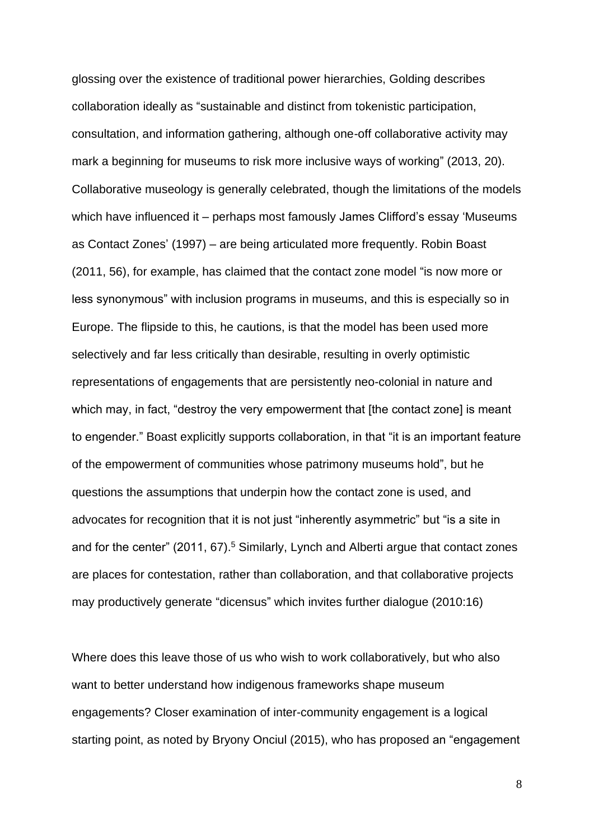glossing over the existence of traditional power hierarchies, Golding describes collaboration ideally as "sustainable and distinct from tokenistic participation, consultation, and information gathering, although one-off collaborative activity may mark a beginning for museums to risk more inclusive ways of working" (2013, 20). Collaborative museology is generally celebrated, though the limitations of the models which have influenced it – perhaps most famously James Clifford's essay 'Museums as Contact Zones' (1997) – are being articulated more frequently. Robin Boast (2011, 56), for example, has claimed that the contact zone model "is now more or less synonymous" with inclusion programs in museums, and this is especially so in Europe. The flipside to this, he cautions, is that the model has been used more selectively and far less critically than desirable, resulting in overly optimistic representations of engagements that are persistently neo-colonial in nature and which may, in fact, "destroy the very empowerment that [the contact zone] is meant to engender." Boast explicitly supports collaboration, in that "it is an important feature of the empowerment of communities whose patrimony museums hold", but he questions the assumptions that underpin how the contact zone is used, and advocates for recognition that it is not just "inherently asymmetric" but "is a site in and for the center"  $(2011, 67)$ <sup>5</sup> Similarly, Lynch and Alberti argue that contact zones are places for contestation, rather than collaboration, and that collaborative projects may productively generate "dicensus" which invites further dialogue (2010:16)

Where does this leave those of us who wish to work collaboratively, but who also want to better understand how indigenous frameworks shape museum engagements? Closer examination of inter-community engagement is a logical starting point, as noted by Bryony Onciul (2015), who has proposed an "engagement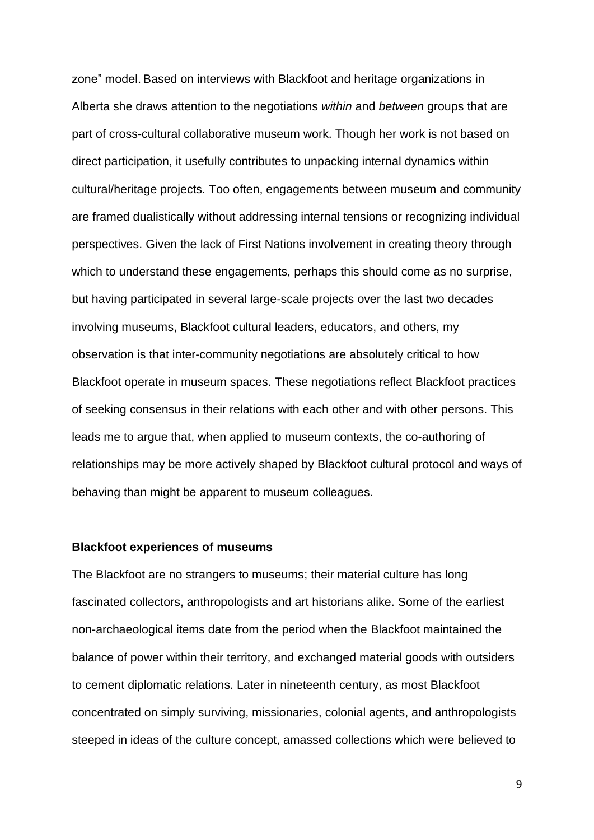zone" model. Based on interviews with Blackfoot and heritage organizations in Alberta she draws attention to the negotiations *within* and *between* groups that are part of cross-cultural collaborative museum work. Though her work is not based on direct participation, it usefully contributes to unpacking internal dynamics within cultural/heritage projects. Too often, engagements between museum and community are framed dualistically without addressing internal tensions or recognizing individual perspectives. Given the lack of First Nations involvement in creating theory through which to understand these engagements, perhaps this should come as no surprise, but having participated in several large-scale projects over the last two decades involving museums, Blackfoot cultural leaders, educators, and others, my observation is that inter-community negotiations are absolutely critical to how Blackfoot operate in museum spaces. These negotiations reflect Blackfoot practices of seeking consensus in their relations with each other and with other persons. This leads me to argue that, when applied to museum contexts, the co-authoring of relationships may be more actively shaped by Blackfoot cultural protocol and ways of behaving than might be apparent to museum colleagues.

#### **Blackfoot experiences of museums**

The Blackfoot are no strangers to museums; their material culture has long fascinated collectors, anthropologists and art historians alike. Some of the earliest non-archaeological items date from the period when the Blackfoot maintained the balance of power within their territory, and exchanged material goods with outsiders to cement diplomatic relations. Later in nineteenth century, as most Blackfoot concentrated on simply surviving, missionaries, colonial agents, and anthropologists steeped in ideas of the culture concept, amassed collections which were believed to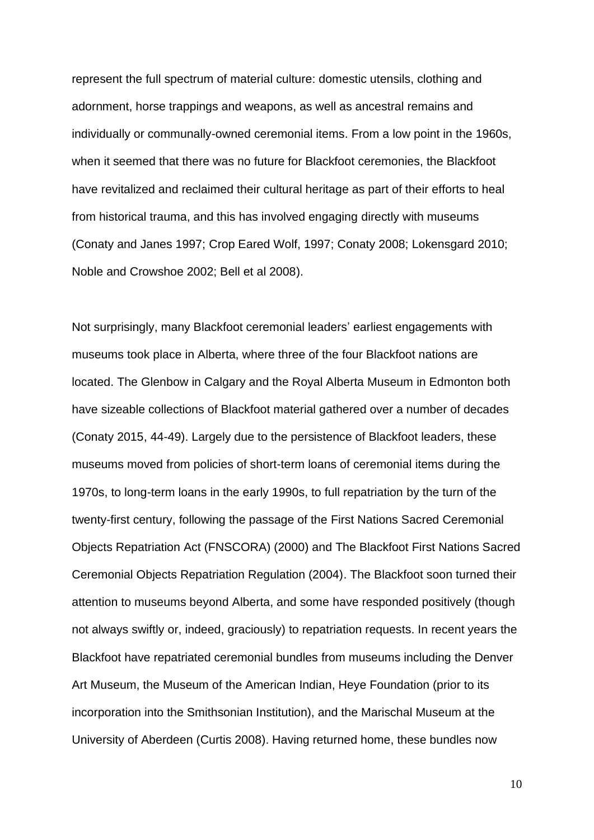represent the full spectrum of material culture: domestic utensils, clothing and adornment, horse trappings and weapons, as well as ancestral remains and individually or communally-owned ceremonial items. From a low point in the 1960s, when it seemed that there was no future for Blackfoot ceremonies, the Blackfoot have revitalized and reclaimed their cultural heritage as part of their efforts to heal from historical trauma, and this has involved engaging directly with museums (Conaty and Janes 1997; Crop Eared Wolf, 1997; Conaty 2008; Lokensgard 2010; Noble and Crowshoe 2002; Bell et al 2008).

Not surprisingly, many Blackfoot ceremonial leaders' earliest engagements with museums took place in Alberta, where three of the four Blackfoot nations are located. The Glenbow in Calgary and the Royal Alberta Museum in Edmonton both have sizeable collections of Blackfoot material gathered over a number of decades (Conaty 2015, 44-49). Largely due to the persistence of Blackfoot leaders, these museums moved from policies of short-term loans of ceremonial items during the 1970s, to long-term loans in the early 1990s, to full repatriation by the turn of the twenty-first century, following the passage of the First Nations Sacred Ceremonial Objects Repatriation Act (FNSCORA) (2000) and The Blackfoot First Nations Sacred Ceremonial Objects Repatriation Regulation (2004). The Blackfoot soon turned their attention to museums beyond Alberta, and some have responded positively (though not always swiftly or, indeed, graciously) to repatriation requests. In recent years the Blackfoot have repatriated ceremonial bundles from museums including the Denver Art Museum, the Museum of the American Indian, Heye Foundation (prior to its incorporation into the Smithsonian Institution), and the Marischal Museum at the University of Aberdeen (Curtis 2008). Having returned home, these bundles now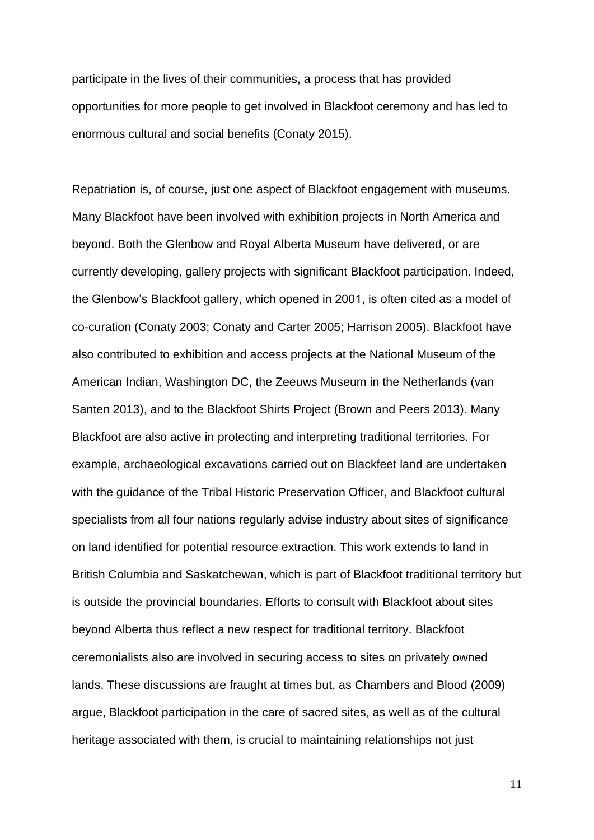participate in the lives of their communities, a process that has provided opportunities for more people to get involved in Blackfoot ceremony and has led to enormous cultural and social benefits (Conaty 2015).

Repatriation is, of course, just one aspect of Blackfoot engagement with museums. Many Blackfoot have been involved with exhibition projects in North America and beyond. Both the Glenbow and Royal Alberta Museum have delivered, or are currently developing, gallery projects with significant Blackfoot participation. Indeed, the Glenbow's Blackfoot gallery, which opened in 2001, is often cited as a model of co-curation (Conaty 2003; Conaty and Carter 2005; Harrison 2005). Blackfoot have also contributed to exhibition and access projects at the National Museum of the American Indian, Washington DC, the Zeeuws Museum in the Netherlands (van Santen 2013), and to the Blackfoot Shirts Project (Brown and Peers 2013). Many Blackfoot are also active in protecting and interpreting traditional territories. For example, archaeological excavations carried out on Blackfeet land are undertaken with the guidance of the Tribal Historic Preservation Officer, and Blackfoot cultural specialists from all four nations regularly advise industry about sites of significance on land identified for potential resource extraction. This work extends to land in British Columbia and Saskatchewan, which is part of Blackfoot traditional territory but is outside the provincial boundaries. Efforts to consult with Blackfoot about sites beyond Alberta thus reflect a new respect for traditional territory. Blackfoot ceremonialists also are involved in securing access to sites on privately owned lands. These discussions are fraught at times but, as Chambers and Blood (2009) argue, Blackfoot participation in the care of sacred sites, as well as of the cultural heritage associated with them, is crucial to maintaining relationships not just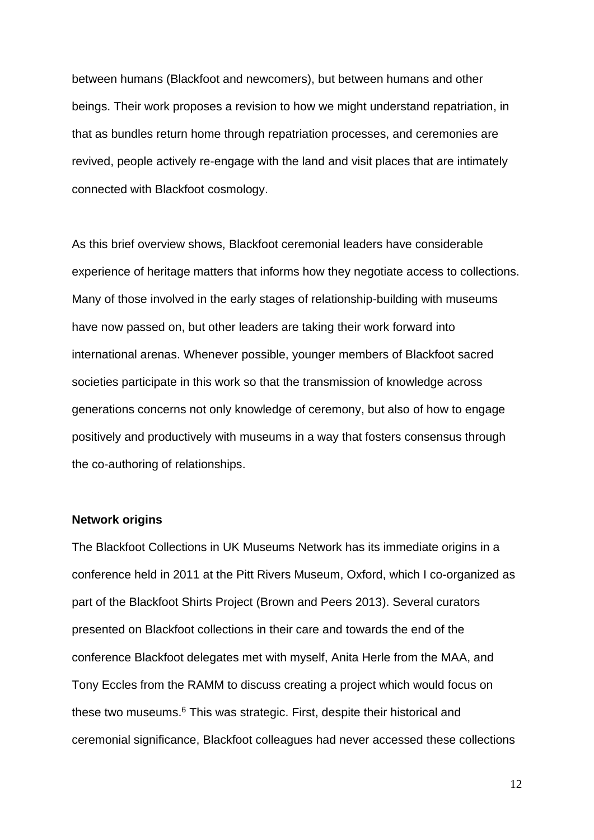between humans (Blackfoot and newcomers), but between humans and other beings. Their work proposes a revision to how we might understand repatriation, in that as bundles return home through repatriation processes, and ceremonies are revived, people actively re-engage with the land and visit places that are intimately connected with Blackfoot cosmology.

As this brief overview shows, Blackfoot ceremonial leaders have considerable experience of heritage matters that informs how they negotiate access to collections. Many of those involved in the early stages of relationship-building with museums have now passed on, but other leaders are taking their work forward into international arenas. Whenever possible, younger members of Blackfoot sacred societies participate in this work so that the transmission of knowledge across generations concerns not only knowledge of ceremony, but also of how to engage positively and productively with museums in a way that fosters consensus through the co-authoring of relationships.

# **Network origins**

The Blackfoot Collections in UK Museums Network has its immediate origins in a conference held in 2011 at the Pitt Rivers Museum, Oxford, which I co-organized as part of the Blackfoot Shirts Project (Brown and Peers 2013). Several curators presented on Blackfoot collections in their care and towards the end of the conference Blackfoot delegates met with myself, Anita Herle from the MAA, and Tony Eccles from the RAMM to discuss creating a project which would focus on these two museums. <sup>6</sup> This was strategic. First, despite their historical and ceremonial significance, Blackfoot colleagues had never accessed these collections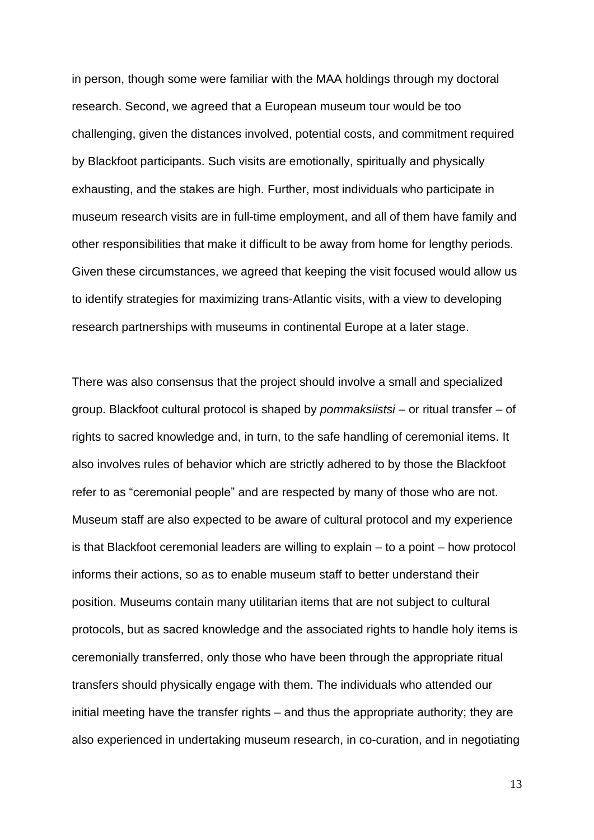in person, though some were familiar with the MAA holdings through my doctoral research. Second, we agreed that a European museum tour would be too challenging, given the distances involved, potential costs, and commitment required by Blackfoot participants. Such visits are emotionally, spiritually and physically exhausting, and the stakes are high. Further, most individuals who participate in museum research visits are in full-time employment, and all of them have family and other responsibilities that make it difficult to be away from home for lengthy periods. Given these circumstances, we agreed that keeping the visit focused would allow us to identify strategies for maximizing trans-Atlantic visits, with a view to developing research partnerships with museums in continental Europe at a later stage.

There was also consensus that the project should involve a small and specialized group. Blackfoot cultural protocol is shaped by *pommaksiistsi* – or ritual transfer – of rights to sacred knowledge and, in turn, to the safe handling of ceremonial items. It also involves rules of behavior which are strictly adhered to by those the Blackfoot refer to as "ceremonial people" and are respected by many of those who are not. Museum staff are also expected to be aware of cultural protocol and my experience is that Blackfoot ceremonial leaders are willing to explain – to a point – how protocol informs their actions, so as to enable museum staff to better understand their position. Museums contain many utilitarian items that are not subject to cultural protocols, but as sacred knowledge and the associated rights to handle holy items is ceremonially transferred, only those who have been through the appropriate ritual transfers should physically engage with them. The individuals who attended our initial meeting have the transfer rights – and thus the appropriate authority; they are also experienced in undertaking museum research, in co-curation, and in negotiating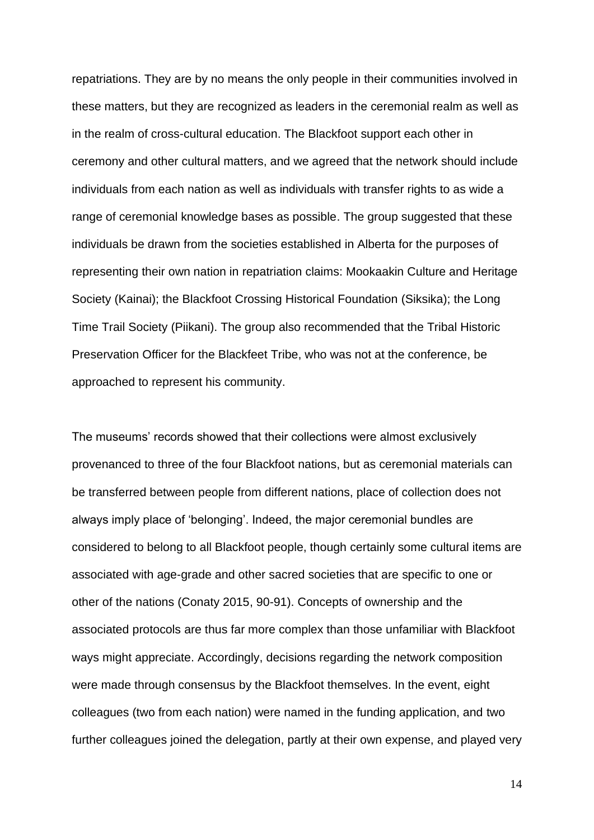repatriations. They are by no means the only people in their communities involved in these matters, but they are recognized as leaders in the ceremonial realm as well as in the realm of cross-cultural education. The Blackfoot support each other in ceremony and other cultural matters, and we agreed that the network should include individuals from each nation as well as individuals with transfer rights to as wide a range of ceremonial knowledge bases as possible. The group suggested that these individuals be drawn from the societies established in Alberta for the purposes of representing their own nation in repatriation claims: Mookaakin Culture and Heritage Society (Kainai); the Blackfoot Crossing Historical Foundation (Siksika); the Long Time Trail Society (Piikani). The group also recommended that the Tribal Historic Preservation Officer for the Blackfeet Tribe, who was not at the conference, be approached to represent his community.

The museums' records showed that their collections were almost exclusively provenanced to three of the four Blackfoot nations, but as ceremonial materials can be transferred between people from different nations, place of collection does not always imply place of 'belonging'. Indeed, the major ceremonial bundles are considered to belong to all Blackfoot people, though certainly some cultural items are associated with age-grade and other sacred societies that are specific to one or other of the nations (Conaty 2015, 90-91). Concepts of ownership and the associated protocols are thus far more complex than those unfamiliar with Blackfoot ways might appreciate. Accordingly, decisions regarding the network composition were made through consensus by the Blackfoot themselves. In the event, eight colleagues (two from each nation) were named in the funding application, and two further colleagues joined the delegation, partly at their own expense, and played very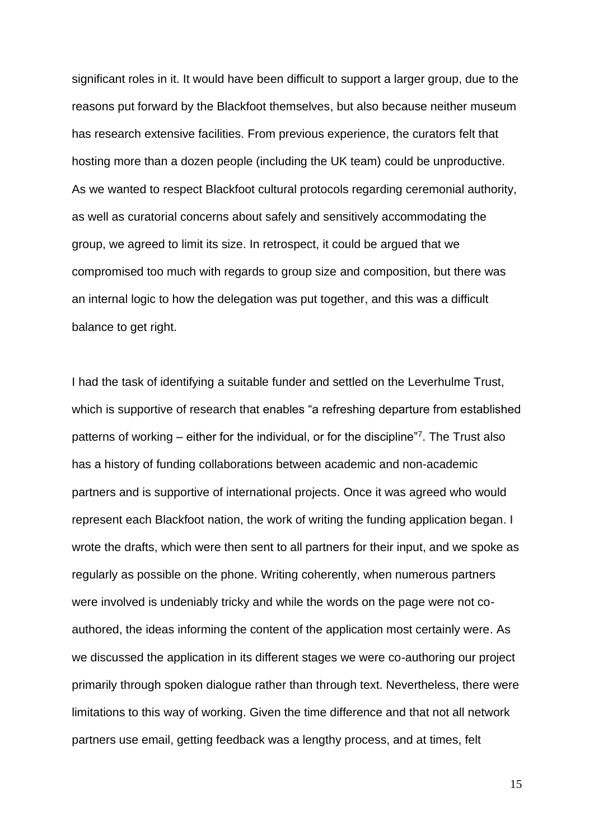significant roles in it. It would have been difficult to support a larger group, due to the reasons put forward by the Blackfoot themselves, but also because neither museum has research extensive facilities. From previous experience, the curators felt that hosting more than a dozen people (including the UK team) could be unproductive. As we wanted to respect Blackfoot cultural protocols regarding ceremonial authority, as well as curatorial concerns about safely and sensitively accommodating the group, we agreed to limit its size. In retrospect, it could be argued that we compromised too much with regards to group size and composition, but there was an internal logic to how the delegation was put together, and this was a difficult balance to get right.

I had the task of identifying a suitable funder and settled on the Leverhulme Trust, which is supportive of research that enables "a refreshing departure from established patterns of working – either for the individual, or for the discipline"<sup>7</sup> . The Trust also has a history of funding collaborations between academic and non-academic partners and is supportive of international projects. Once it was agreed who would represent each Blackfoot nation, the work of writing the funding application began. I wrote the drafts, which were then sent to all partners for their input, and we spoke as regularly as possible on the phone. Writing coherently, when numerous partners were involved is undeniably tricky and while the words on the page were not coauthored, the ideas informing the content of the application most certainly were. As we discussed the application in its different stages we were co-authoring our project primarily through spoken dialogue rather than through text. Nevertheless, there were limitations to this way of working. Given the time difference and that not all network partners use email, getting feedback was a lengthy process, and at times, felt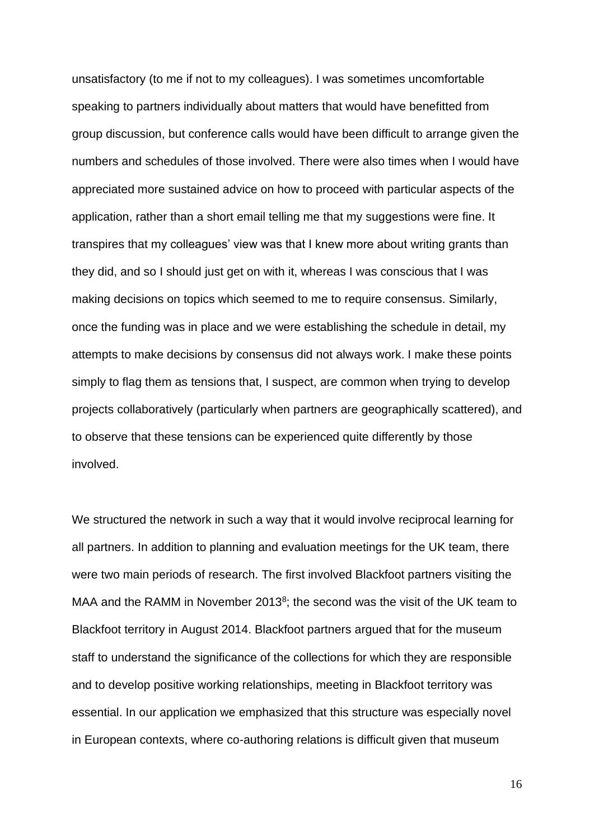unsatisfactory (to me if not to my colleagues). I was sometimes uncomfortable speaking to partners individually about matters that would have benefitted from group discussion, but conference calls would have been difficult to arrange given the numbers and schedules of those involved. There were also times when I would have appreciated more sustained advice on how to proceed with particular aspects of the application, rather than a short email telling me that my suggestions were fine. It transpires that my colleagues' view was that I knew more about writing grants than they did, and so I should just get on with it, whereas I was conscious that I was making decisions on topics which seemed to me to require consensus. Similarly, once the funding was in place and we were establishing the schedule in detail, my attempts to make decisions by consensus did not always work. I make these points simply to flag them as tensions that, I suspect, are common when trying to develop projects collaboratively (particularly when partners are geographically scattered), and to observe that these tensions can be experienced quite differently by those involved.

We structured the network in such a way that it would involve reciprocal learning for all partners. In addition to planning and evaluation meetings for the UK team, there were two main periods of research. The first involved Blackfoot partners visiting the MAA and the RAMM in November 2013<sup>8</sup>; the second was the visit of the UK team to Blackfoot territory in August 2014. Blackfoot partners argued that for the museum staff to understand the significance of the collections for which they are responsible and to develop positive working relationships, meeting in Blackfoot territory was essential. In our application we emphasized that this structure was especially novel in European contexts, where co-authoring relations is difficult given that museum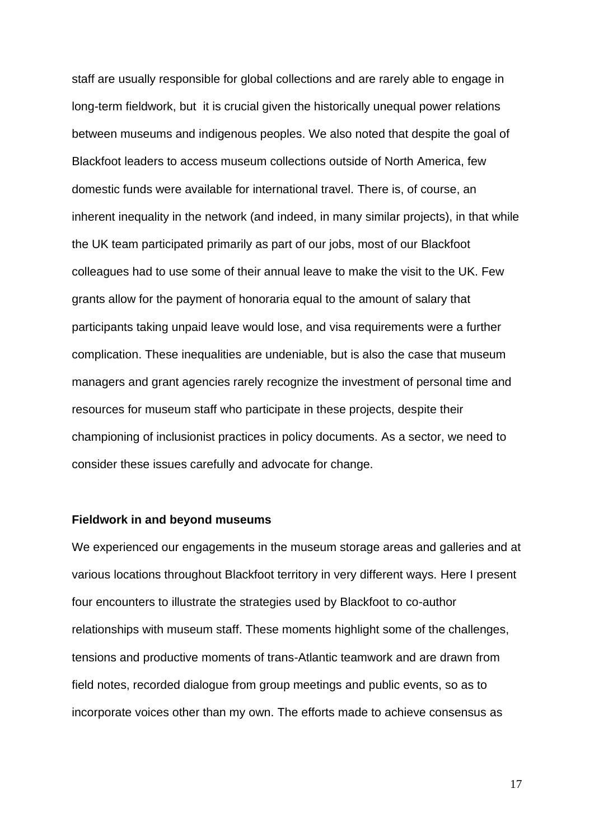staff are usually responsible for global collections and are rarely able to engage in long-term fieldwork, but it is crucial given the historically unequal power relations between museums and indigenous peoples. We also noted that despite the goal of Blackfoot leaders to access museum collections outside of North America, few domestic funds were available for international travel. There is, of course, an inherent inequality in the network (and indeed, in many similar projects), in that while the UK team participated primarily as part of our jobs, most of our Blackfoot colleagues had to use some of their annual leave to make the visit to the UK. Few grants allow for the payment of honoraria equal to the amount of salary that participants taking unpaid leave would lose, and visa requirements were a further complication. These inequalities are undeniable, but is also the case that museum managers and grant agencies rarely recognize the investment of personal time and resources for museum staff who participate in these projects, despite their championing of inclusionist practices in policy documents. As a sector, we need to consider these issues carefully and advocate for change.

### **Fieldwork in and beyond museums**

We experienced our engagements in the museum storage areas and galleries and at various locations throughout Blackfoot territory in very different ways. Here I present four encounters to illustrate the strategies used by Blackfoot to co-author relationships with museum staff. These moments highlight some of the challenges, tensions and productive moments of trans-Atlantic teamwork and are drawn from field notes, recorded dialogue from group meetings and public events, so as to incorporate voices other than my own. The efforts made to achieve consensus as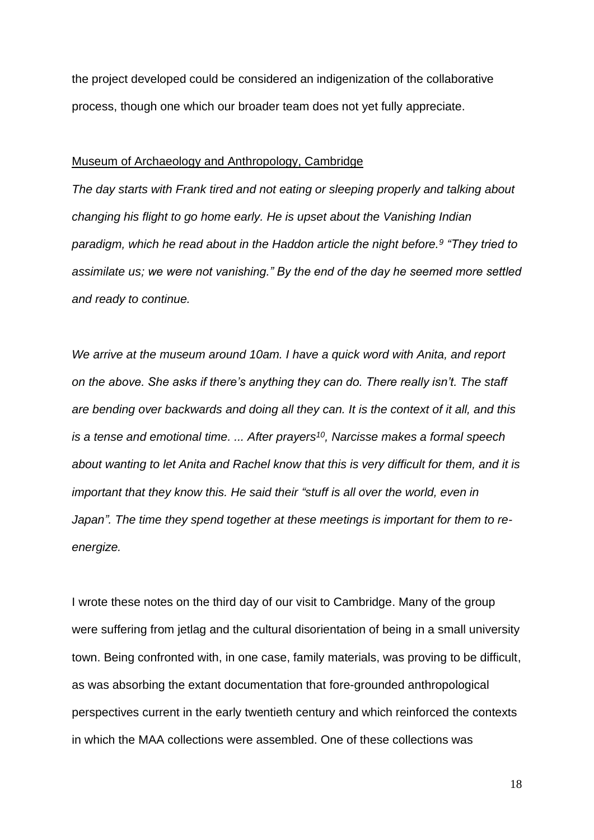the project developed could be considered an indigenization of the collaborative process, though one which our broader team does not yet fully appreciate.

### Museum of Archaeology and Anthropology, Cambridge

*The day starts with Frank tired and not eating or sleeping properly and talking about changing his flight to go home early. He is upset about the Vanishing Indian paradigm, which he read about in the Haddon article the night before.<sup>9</sup> "They tried to assimilate us; we were not vanishing." By the end of the day he seemed more settled and ready to continue.*

*We arrive at the museum around 10am. I have a quick word with Anita, and report on the above. She asks if there's anything they can do. There really isn't. The staff are bending over backwards and doing all they can. It is the context of it all, and this is a tense and emotional time. ... After prayers<sup>10</sup>, Narcisse makes a formal speech about wanting to let Anita and Rachel know that this is very difficult for them, and it is important that they know this. He said their "stuff is all over the world, even in Japan". The time they spend together at these meetings is important for them to reenergize.*

I wrote these notes on the third day of our visit to Cambridge. Many of the group were suffering from jetlag and the cultural disorientation of being in a small university town. Being confronted with, in one case, family materials, was proving to be difficult, as was absorbing the extant documentation that fore-grounded anthropological perspectives current in the early twentieth century and which reinforced the contexts in which the MAA collections were assembled. One of these collections was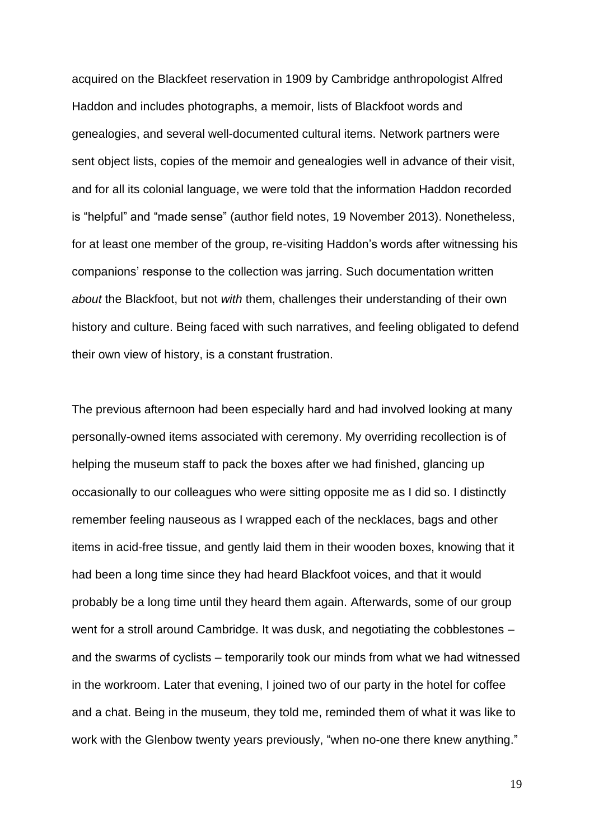acquired on the Blackfeet reservation in 1909 by Cambridge anthropologist Alfred Haddon and includes photographs, a memoir, lists of Blackfoot words and genealogies, and several well-documented cultural items. Network partners were sent object lists, copies of the memoir and genealogies well in advance of their visit, and for all its colonial language, we were told that the information Haddon recorded is "helpful" and "made sense" (author field notes, 19 November 2013). Nonetheless, for at least one member of the group, re-visiting Haddon's words after witnessing his companions' response to the collection was jarring. Such documentation written *about* the Blackfoot, but not *with* them, challenges their understanding of their own history and culture. Being faced with such narratives, and feeling obligated to defend their own view of history, is a constant frustration.

The previous afternoon had been especially hard and had involved looking at many personally-owned items associated with ceremony. My overriding recollection is of helping the museum staff to pack the boxes after we had finished, glancing up occasionally to our colleagues who were sitting opposite me as I did so. I distinctly remember feeling nauseous as I wrapped each of the necklaces, bags and other items in acid-free tissue, and gently laid them in their wooden boxes, knowing that it had been a long time since they had heard Blackfoot voices, and that it would probably be a long time until they heard them again. Afterwards, some of our group went for a stroll around Cambridge. It was dusk, and negotiating the cobblestones – and the swarms of cyclists – temporarily took our minds from what we had witnessed in the workroom. Later that evening, I joined two of our party in the hotel for coffee and a chat. Being in the museum, they told me, reminded them of what it was like to work with the Glenbow twenty years previously, "when no-one there knew anything."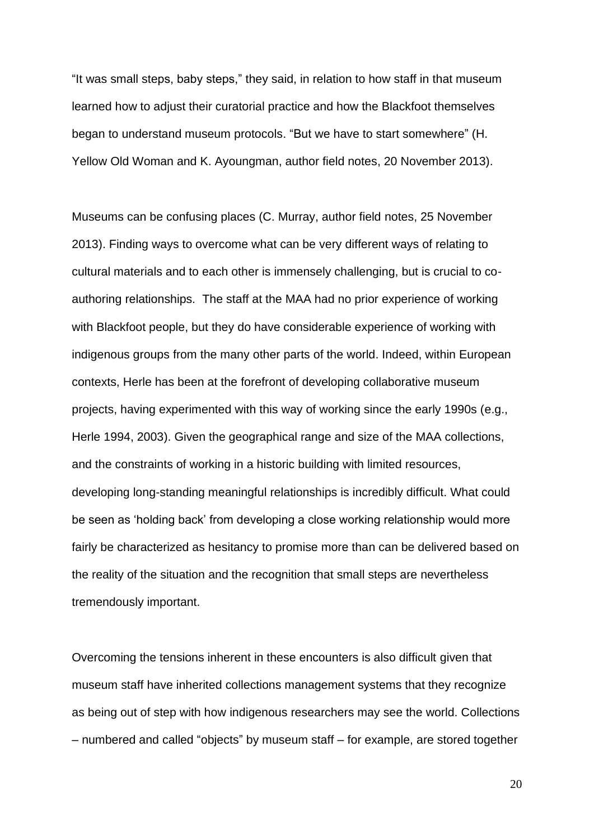"It was small steps, baby steps," they said, in relation to how staff in that museum learned how to adjust their curatorial practice and how the Blackfoot themselves began to understand museum protocols. "But we have to start somewhere" (H. Yellow Old Woman and K. Ayoungman, author field notes, 20 November 2013).

Museums can be confusing places (C. Murray, author field notes, 25 November 2013). Finding ways to overcome what can be very different ways of relating to cultural materials and to each other is immensely challenging, but is crucial to coauthoring relationships. The staff at the MAA had no prior experience of working with Blackfoot people, but they do have considerable experience of working with indigenous groups from the many other parts of the world. Indeed, within European contexts, Herle has been at the forefront of developing collaborative museum projects, having experimented with this way of working since the early 1990s (e.g., Herle 1994, 2003). Given the geographical range and size of the MAA collections, and the constraints of working in a historic building with limited resources, developing long-standing meaningful relationships is incredibly difficult. What could be seen as 'holding back' from developing a close working relationship would more fairly be characterized as hesitancy to promise more than can be delivered based on the reality of the situation and the recognition that small steps are nevertheless tremendously important.

Overcoming the tensions inherent in these encounters is also difficult given that museum staff have inherited collections management systems that they recognize as being out of step with how indigenous researchers may see the world. Collections – numbered and called "objects" by museum staff – for example, are stored together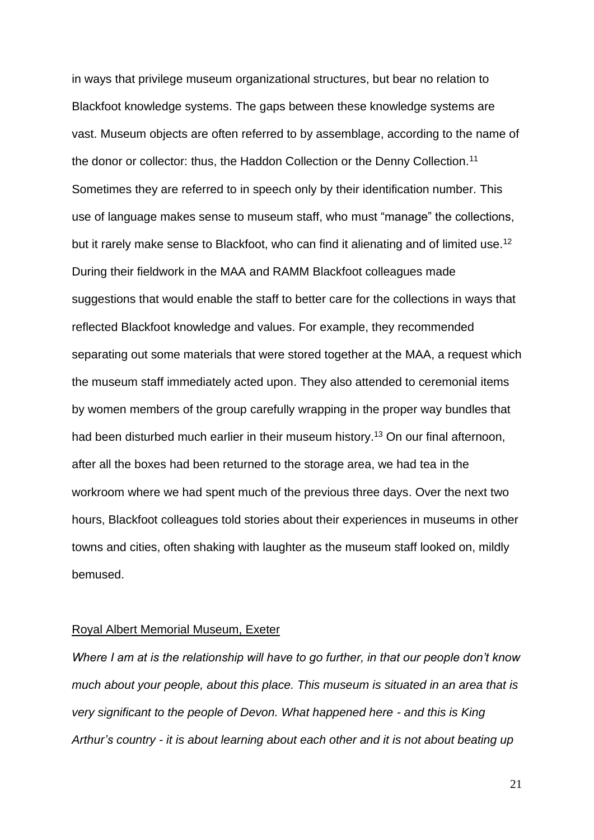in ways that privilege museum organizational structures, but bear no relation to Blackfoot knowledge systems. The gaps between these knowledge systems are vast. Museum objects are often referred to by assemblage, according to the name of the donor or collector: thus, the Haddon Collection or the Denny Collection.<sup>11</sup> Sometimes they are referred to in speech only by their identification number. This use of language makes sense to museum staff, who must "manage" the collections, but it rarely make sense to Blackfoot, who can find it alienating and of limited use.<sup>12</sup> During their fieldwork in the MAA and RAMM Blackfoot colleagues made suggestions that would enable the staff to better care for the collections in ways that reflected Blackfoot knowledge and values. For example, they recommended separating out some materials that were stored together at the MAA, a request which the museum staff immediately acted upon. They also attended to ceremonial items by women members of the group carefully wrapping in the proper way bundles that had been disturbed much earlier in their museum history.<sup>13</sup> On our final afternoon, after all the boxes had been returned to the storage area, we had tea in the workroom where we had spent much of the previous three days. Over the next two hours, Blackfoot colleagues told stories about their experiences in museums in other towns and cities, often shaking with laughter as the museum staff looked on, mildly bemused.

#### Royal Albert Memorial Museum, Exeter

*Where I am at is the relationship will have to go further, in that our people don't know much about your people, about this place. This museum is situated in an area that is very significant to the people of Devon. What happened here - and this is King Arthur's country - it is about learning about each other and it is not about beating up*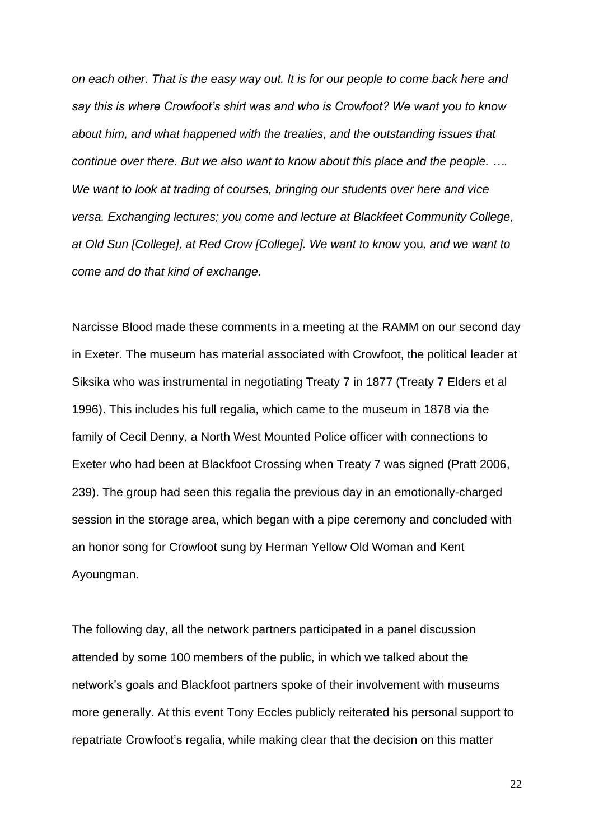*on each other. That is the easy way out. It is for our people to come back here and say this is where Crowfoot's shirt was and who is Crowfoot? We want you to know about him, and what happened with the treaties, and the outstanding issues that continue over there. But we also want to know about this place and the people. …. We want to look at trading of courses, bringing our students over here and vice versa. Exchanging lectures; you come and lecture at Blackfeet Community College, at Old Sun [College], at Red Crow [College]. We want to know* you*, and we want to come and do that kind of exchange.*

Narcisse Blood made these comments in a meeting at the RAMM on our second day in Exeter. The museum has material associated with Crowfoot, the political leader at Siksika who was instrumental in negotiating Treaty 7 in 1877 (Treaty 7 Elders et al 1996). This includes his full regalia, which came to the museum in 1878 via the family of Cecil Denny, a North West Mounted Police officer with connections to Exeter who had been at Blackfoot Crossing when Treaty 7 was signed (Pratt 2006, 239). The group had seen this regalia the previous day in an emotionally-charged session in the storage area, which began with a pipe ceremony and concluded with an honor song for Crowfoot sung by Herman Yellow Old Woman and Kent Ayoungman.

The following day, all the network partners participated in a panel discussion attended by some 100 members of the public, in which we talked about the network's goals and Blackfoot partners spoke of their involvement with museums more generally. At this event Tony Eccles publicly reiterated his personal support to repatriate Crowfoot's regalia, while making clear that the decision on this matter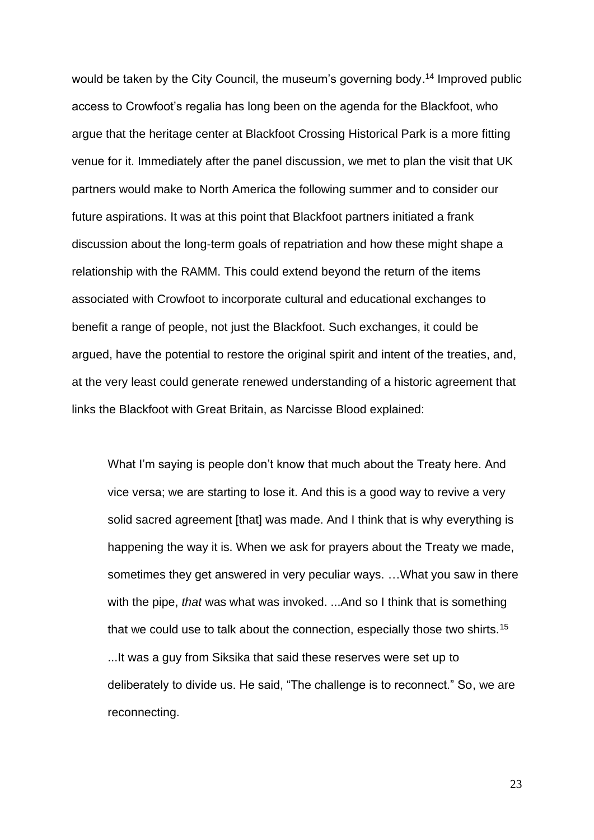would be taken by the City Council, the museum's governing body.<sup>14</sup> Improved public access to Crowfoot's regalia has long been on the agenda for the Blackfoot, who argue that the heritage center at Blackfoot Crossing Historical Park is a more fitting venue for it. Immediately after the panel discussion, we met to plan the visit that UK partners would make to North America the following summer and to consider our future aspirations. It was at this point that Blackfoot partners initiated a frank discussion about the long-term goals of repatriation and how these might shape a relationship with the RAMM. This could extend beyond the return of the items associated with Crowfoot to incorporate cultural and educational exchanges to benefit a range of people, not just the Blackfoot. Such exchanges, it could be argued, have the potential to restore the original spirit and intent of the treaties, and, at the very least could generate renewed understanding of a historic agreement that links the Blackfoot with Great Britain, as Narcisse Blood explained:

What I'm saying is people don't know that much about the Treaty here. And vice versa; we are starting to lose it. And this is a good way to revive a very solid sacred agreement [that] was made. And I think that is why everything is happening the way it is. When we ask for prayers about the Treaty we made, sometimes they get answered in very peculiar ways. …What you saw in there with the pipe, *that* was what was invoked. ...And so I think that is something that we could use to talk about the connection, especially those two shirts.<sup>15</sup> ...It was a guy from Siksika that said these reserves were set up to deliberately to divide us. He said, "The challenge is to reconnect." So, we are reconnecting.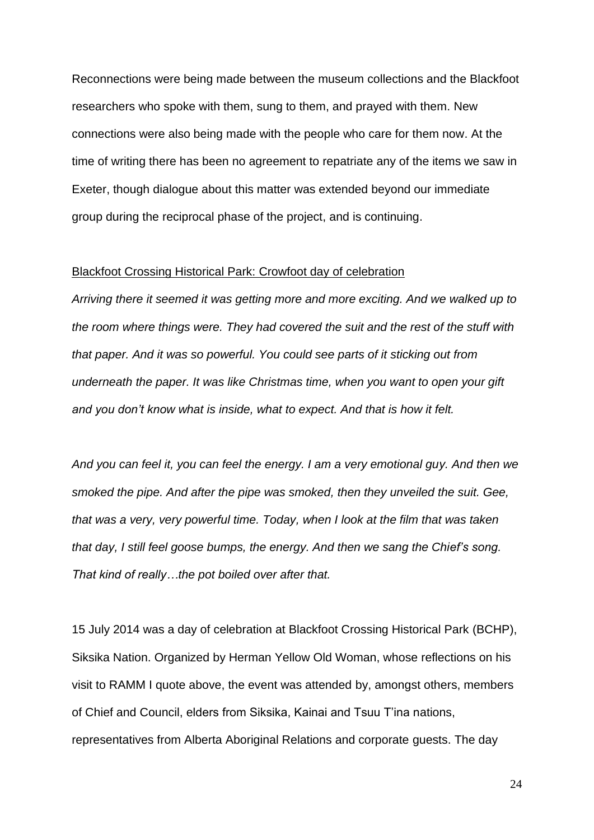Reconnections were being made between the museum collections and the Blackfoot researchers who spoke with them, sung to them, and prayed with them. New connections were also being made with the people who care for them now. At the time of writing there has been no agreement to repatriate any of the items we saw in Exeter, though dialogue about this matter was extended beyond our immediate group during the reciprocal phase of the project, and is continuing.

#### Blackfoot Crossing Historical Park: Crowfoot day of celebration

*Arriving there it seemed it was getting more and more exciting. And we walked up to the room where things were. They had covered the suit and the rest of the stuff with that paper. And it was so powerful. You could see parts of it sticking out from underneath the paper. It was like Christmas time, when you want to open your gift and you don't know what is inside, what to expect. And that is how it felt.* 

*And you can feel it, you can feel the energy. I am a very emotional guy. And then we smoked the pipe. And after the pipe was smoked, then they unveiled the suit. Gee, that was a very, very powerful time. Today, when I look at the film that was taken that day, I still feel goose bumps, the energy. And then we sang the Chief's song. That kind of really…the pot boiled over after that.* 

15 July 2014 was a day of celebration at Blackfoot Crossing Historical Park (BCHP), Siksika Nation. Organized by Herman Yellow Old Woman, whose reflections on his visit to RAMM I quote above, the event was attended by, amongst others, members of Chief and Council, elders from Siksika, Kainai and Tsuu T'ina nations, representatives from Alberta Aboriginal Relations and corporate guests. The day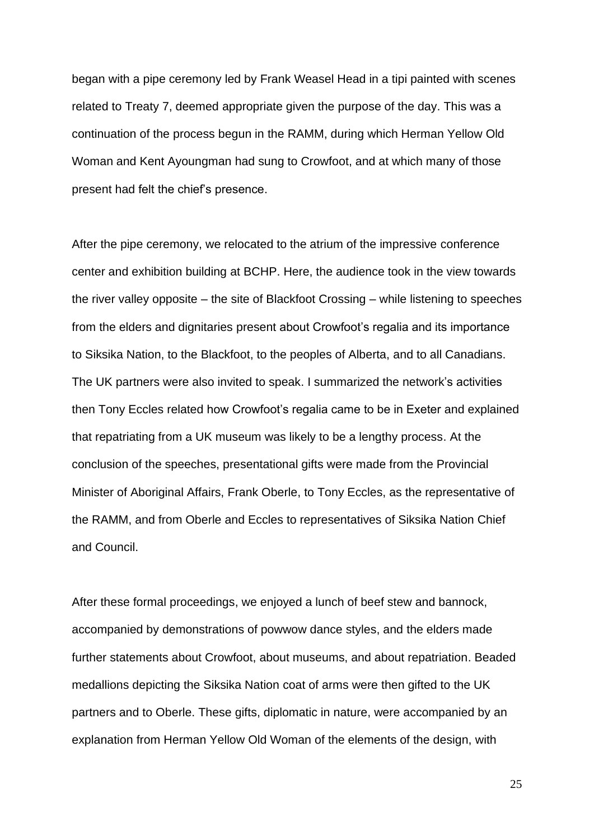began with a pipe ceremony led by Frank Weasel Head in a tipi painted with scenes related to Treaty 7, deemed appropriate given the purpose of the day. This was a continuation of the process begun in the RAMM, during which Herman Yellow Old Woman and Kent Ayoungman had sung to Crowfoot, and at which many of those present had felt the chief's presence.

After the pipe ceremony, we relocated to the atrium of the impressive conference center and exhibition building at BCHP. Here, the audience took in the view towards the river valley opposite – the site of Blackfoot Crossing – while listening to speeches from the elders and dignitaries present about Crowfoot's regalia and its importance to Siksika Nation, to the Blackfoot, to the peoples of Alberta, and to all Canadians. The UK partners were also invited to speak. I summarized the network's activities then Tony Eccles related how Crowfoot's regalia came to be in Exeter and explained that repatriating from a UK museum was likely to be a lengthy process. At the conclusion of the speeches, presentational gifts were made from the Provincial Minister of Aboriginal Affairs, Frank Oberle, to Tony Eccles, as the representative of the RAMM, and from Oberle and Eccles to representatives of Siksika Nation Chief and Council.

After these formal proceedings, we enjoyed a lunch of beef stew and bannock, accompanied by demonstrations of powwow dance styles, and the elders made further statements about Crowfoot, about museums, and about repatriation. Beaded medallions depicting the Siksika Nation coat of arms were then gifted to the UK partners and to Oberle. These gifts, diplomatic in nature, were accompanied by an explanation from Herman Yellow Old Woman of the elements of the design, with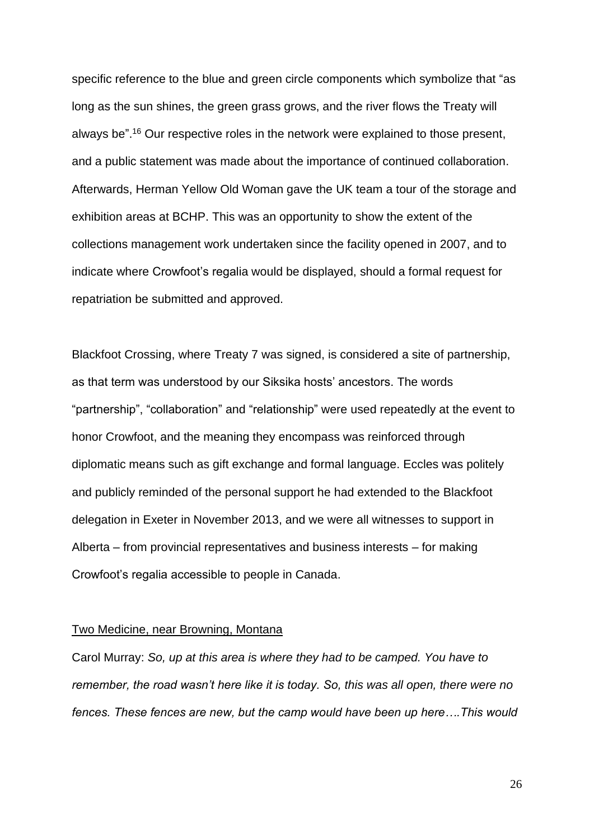specific reference to the blue and green circle components which symbolize that "as long as the sun shines, the green grass grows, and the river flows the Treaty will always be". <sup>16</sup> Our respective roles in the network were explained to those present, and a public statement was made about the importance of continued collaboration. Afterwards, Herman Yellow Old Woman gave the UK team a tour of the storage and exhibition areas at BCHP. This was an opportunity to show the extent of the collections management work undertaken since the facility opened in 2007, and to indicate where Crowfoot's regalia would be displayed, should a formal request for repatriation be submitted and approved.

Blackfoot Crossing, where Treaty 7 was signed, is considered a site of partnership, as that term was understood by our Siksika hosts' ancestors. The words "partnership", "collaboration" and "relationship" were used repeatedly at the event to honor Crowfoot, and the meaning they encompass was reinforced through diplomatic means such as gift exchange and formal language. Eccles was politely and publicly reminded of the personal support he had extended to the Blackfoot delegation in Exeter in November 2013, and we were all witnesses to support in Alberta – from provincial representatives and business interests – for making Crowfoot's regalia accessible to people in Canada.

### Two Medicine, near Browning, Montana

Carol Murray: *So, up at this area is where they had to be camped. You have to remember, the road wasn't here like it is today. So, this was all open, there were no fences. These fences are new, but the camp would have been up here….This would*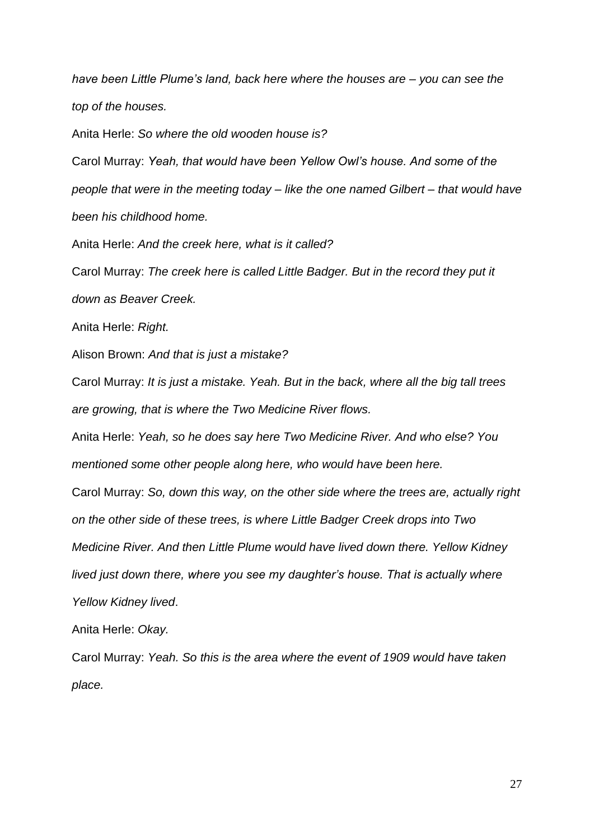*have been Little Plume's land, back here where the houses are – you can see the top of the houses.*

Anita Herle: *So where the old wooden house is?*

Carol Murray: *Yeah, that would have been Yellow Owl's house. And some of the people that were in the meeting today – like the one named Gilbert – that would have been his childhood home.*

Anita Herle: *And the creek here, what is it called?*

Carol Murray: *The creek here is called Little Badger. But in the record they put it* 

*down as Beaver Creek.* 

Anita Herle: *Right.*

Alison Brown: *And that is just a mistake?*

Carol Murray: *It is just a mistake. Yeah. But in the back, where all the big tall trees are growing, that is where the Two Medicine River flows.*

Anita Herle: *Yeah, so he does say here Two Medicine River. And who else? You mentioned some other people along here, who would have been here.*

Carol Murray: *So, down this way, on the other side where the trees are, actually right* 

*on the other side of these trees, is where Little Badger Creek drops into Two* 

*Medicine River. And then Little Plume would have lived down there. Yellow Kidney* 

*lived just down there, where you see my daughter's house. That is actually where Yellow Kidney lived*.

Anita Herle: *Okay.*

Carol Murray: *Yeah. So this is the area where the event of 1909 would have taken place.*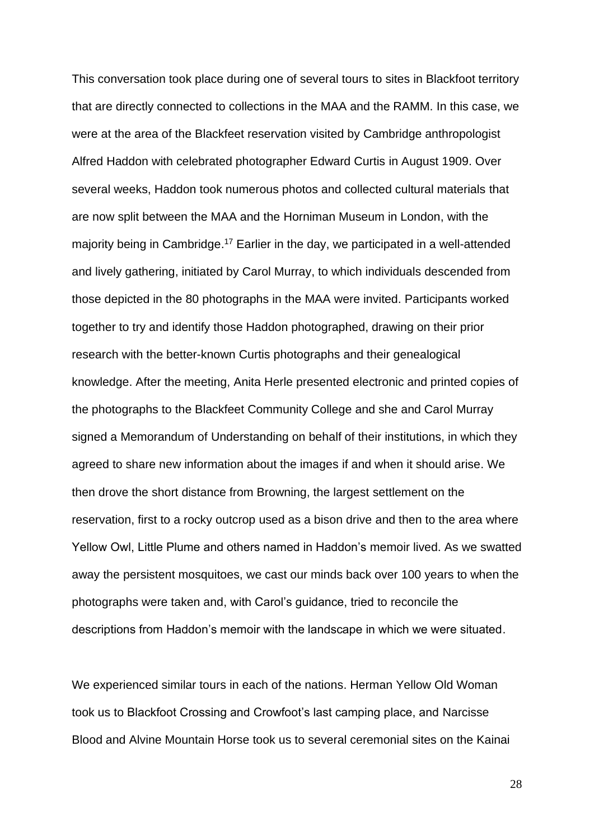This conversation took place during one of several tours to sites in Blackfoot territory that are directly connected to collections in the MAA and the RAMM. In this case, we were at the area of the Blackfeet reservation visited by Cambridge anthropologist Alfred Haddon with celebrated photographer Edward Curtis in August 1909. Over several weeks, Haddon took numerous photos and collected cultural materials that are now split between the MAA and the Horniman Museum in London, with the majority being in Cambridge.<sup>17</sup> Earlier in the day, we participated in a well-attended and lively gathering, initiated by Carol Murray, to which individuals descended from those depicted in the 80 photographs in the MAA were invited. Participants worked together to try and identify those Haddon photographed, drawing on their prior research with the better-known Curtis photographs and their genealogical knowledge. After the meeting, Anita Herle presented electronic and printed copies of the photographs to the Blackfeet Community College and she and Carol Murray signed a Memorandum of Understanding on behalf of their institutions, in which they agreed to share new information about the images if and when it should arise. We then drove the short distance from Browning, the largest settlement on the reservation, first to a rocky outcrop used as a bison drive and then to the area where Yellow Owl, Little Plume and others named in Haddon's memoir lived. As we swatted away the persistent mosquitoes, we cast our minds back over 100 years to when the photographs were taken and, with Carol's guidance, tried to reconcile the descriptions from Haddon's memoir with the landscape in which we were situated.

We experienced similar tours in each of the nations. Herman Yellow Old Woman took us to Blackfoot Crossing and Crowfoot's last camping place, and Narcisse Blood and Alvine Mountain Horse took us to several ceremonial sites on the Kainai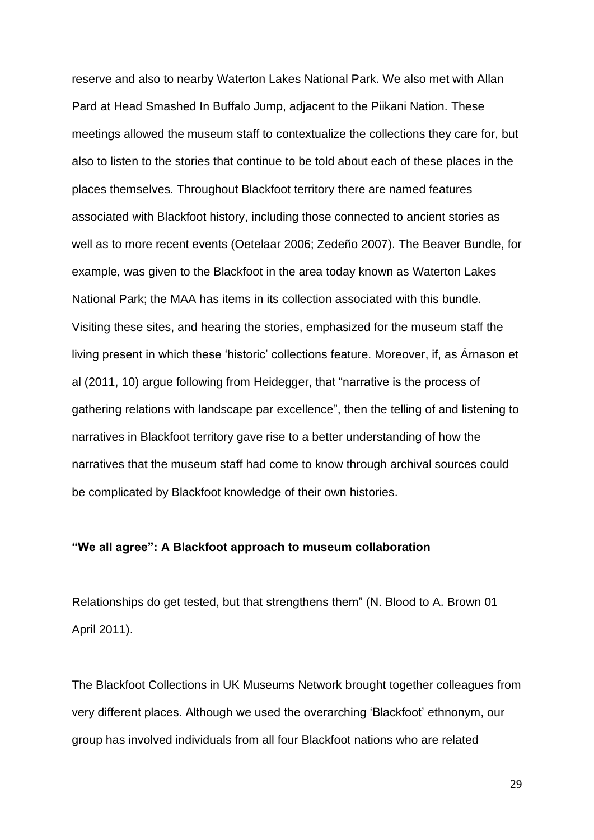reserve and also to nearby Waterton Lakes National Park. We also met with Allan Pard at Head Smashed In Buffalo Jump, adjacent to the Piikani Nation. These meetings allowed the museum staff to contextualize the collections they care for, but also to listen to the stories that continue to be told about each of these places in the places themselves. Throughout Blackfoot territory there are named features associated with Blackfoot history, including those connected to ancient stories as well as to more recent events (Oetelaar 2006; Zedeño 2007). The Beaver Bundle, for example, was given to the Blackfoot in the area today known as Waterton Lakes National Park; the MAA has items in its collection associated with this bundle. Visiting these sites, and hearing the stories, emphasized for the museum staff the living present in which these 'historic' collections feature. Moreover, if, as Árnason et al (2011, 10) argue following from Heidegger, that "narrative is the process of gathering relations with landscape par excellence", then the telling of and listening to narratives in Blackfoot territory gave rise to a better understanding of how the narratives that the museum staff had come to know through archival sources could be complicated by Blackfoot knowledge of their own histories.

# **"We all agree": A Blackfoot approach to museum collaboration**

Relationships do get tested, but that strengthens them" (N. Blood to A. Brown 01 April 2011).

The Blackfoot Collections in UK Museums Network brought together colleagues from very different places. Although we used the overarching 'Blackfoot' ethnonym, our group has involved individuals from all four Blackfoot nations who are related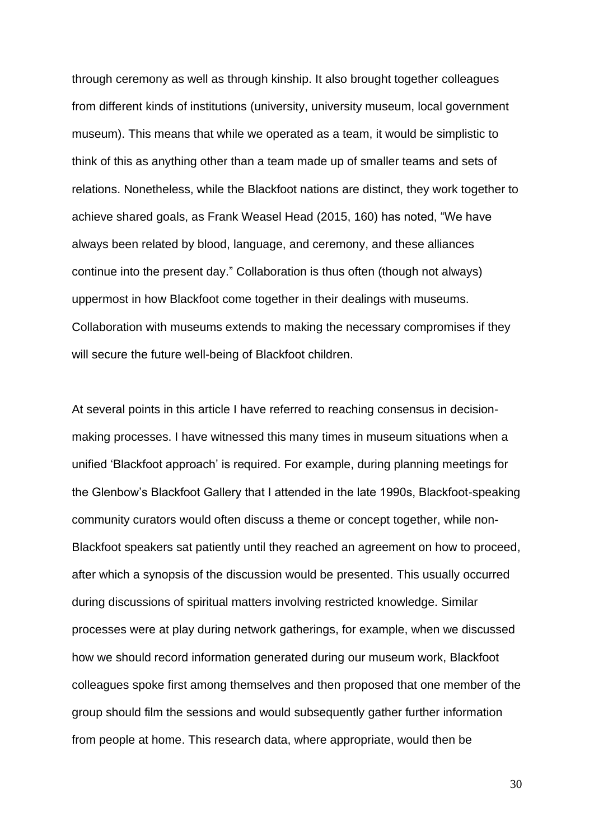through ceremony as well as through kinship. It also brought together colleagues from different kinds of institutions (university, university museum, local government museum). This means that while we operated as a team, it would be simplistic to think of this as anything other than a team made up of smaller teams and sets of relations. Nonetheless, while the Blackfoot nations are distinct, they work together to achieve shared goals, as Frank Weasel Head (2015, 160) has noted, "We have always been related by blood, language, and ceremony, and these alliances continue into the present day." Collaboration is thus often (though not always) uppermost in how Blackfoot come together in their dealings with museums. Collaboration with museums extends to making the necessary compromises if they will secure the future well-being of Blackfoot children.

At several points in this article I have referred to reaching consensus in decisionmaking processes. I have witnessed this many times in museum situations when a unified 'Blackfoot approach' is required. For example, during planning meetings for the Glenbow's Blackfoot Gallery that I attended in the late 1990s, Blackfoot-speaking community curators would often discuss a theme or concept together, while non-Blackfoot speakers sat patiently until they reached an agreement on how to proceed, after which a synopsis of the discussion would be presented. This usually occurred during discussions of spiritual matters involving restricted knowledge. Similar processes were at play during network gatherings, for example, when we discussed how we should record information generated during our museum work, Blackfoot colleagues spoke first among themselves and then proposed that one member of the group should film the sessions and would subsequently gather further information from people at home. This research data, where appropriate, would then be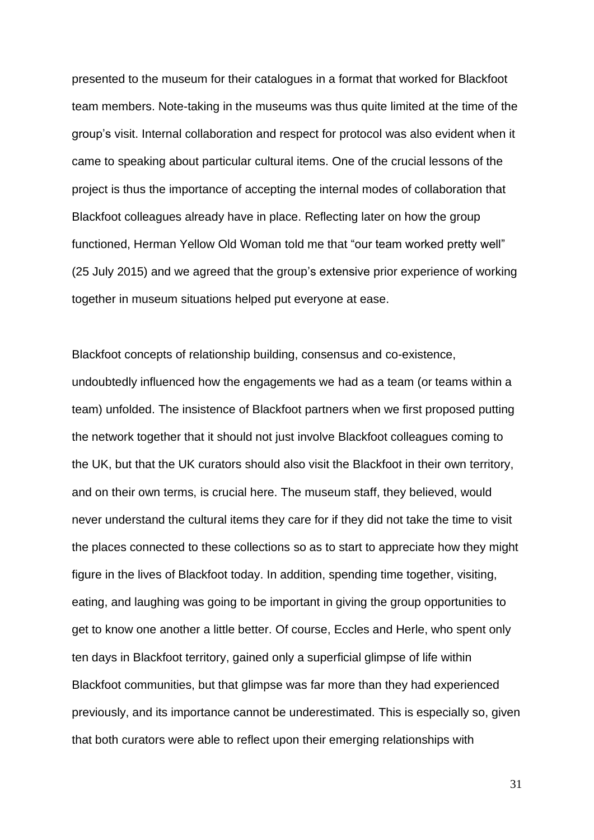presented to the museum for their catalogues in a format that worked for Blackfoot team members. Note-taking in the museums was thus quite limited at the time of the group's visit. Internal collaboration and respect for protocol was also evident when it came to speaking about particular cultural items. One of the crucial lessons of the project is thus the importance of accepting the internal modes of collaboration that Blackfoot colleagues already have in place. Reflecting later on how the group functioned, Herman Yellow Old Woman told me that "our team worked pretty well" (25 July 2015) and we agreed that the group's extensive prior experience of working together in museum situations helped put everyone at ease.

Blackfoot concepts of relationship building, consensus and co-existence, undoubtedly influenced how the engagements we had as a team (or teams within a team) unfolded. The insistence of Blackfoot partners when we first proposed putting the network together that it should not just involve Blackfoot colleagues coming to the UK, but that the UK curators should also visit the Blackfoot in their own territory, and on their own terms, is crucial here. The museum staff, they believed, would never understand the cultural items they care for if they did not take the time to visit the places connected to these collections so as to start to appreciate how they might figure in the lives of Blackfoot today. In addition, spending time together, visiting, eating, and laughing was going to be important in giving the group opportunities to get to know one another a little better. Of course, Eccles and Herle, who spent only ten days in Blackfoot territory, gained only a superficial glimpse of life within Blackfoot communities, but that glimpse was far more than they had experienced previously, and its importance cannot be underestimated. This is especially so, given that both curators were able to reflect upon their emerging relationships with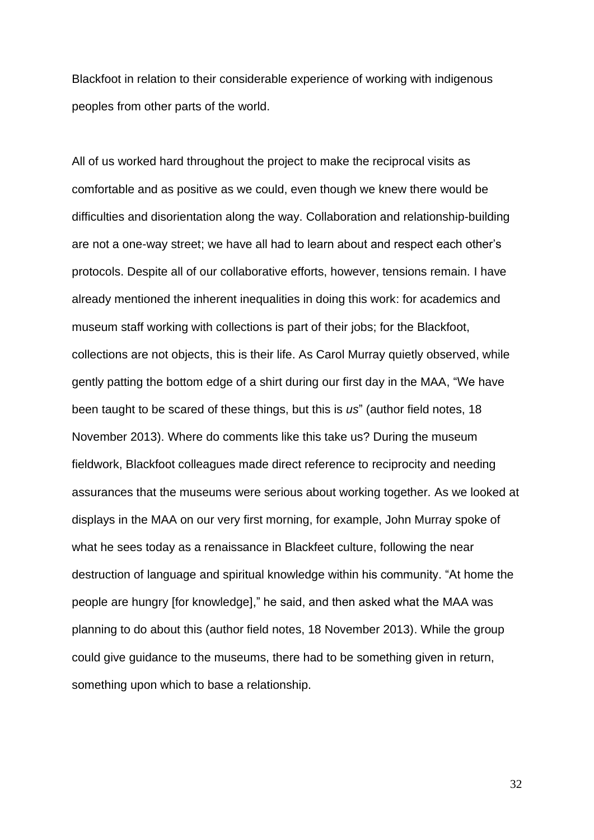Blackfoot in relation to their considerable experience of working with indigenous peoples from other parts of the world.

All of us worked hard throughout the project to make the reciprocal visits as comfortable and as positive as we could, even though we knew there would be difficulties and disorientation along the way. Collaboration and relationship-building are not a one-way street; we have all had to learn about and respect each other's protocols. Despite all of our collaborative efforts, however, tensions remain. I have already mentioned the inherent inequalities in doing this work: for academics and museum staff working with collections is part of their jobs; for the Blackfoot, collections are not objects, this is their life. As Carol Murray quietly observed, while gently patting the bottom edge of a shirt during our first day in the MAA, "We have been taught to be scared of these things, but this is *us*" (author field notes, 18 November 2013). Where do comments like this take us? During the museum fieldwork, Blackfoot colleagues made direct reference to reciprocity and needing assurances that the museums were serious about working together. As we looked at displays in the MAA on our very first morning, for example, John Murray spoke of what he sees today as a renaissance in Blackfeet culture, following the near destruction of language and spiritual knowledge within his community. "At home the people are hungry [for knowledge]," he said, and then asked what the MAA was planning to do about this (author field notes, 18 November 2013). While the group could give guidance to the museums, there had to be something given in return, something upon which to base a relationship.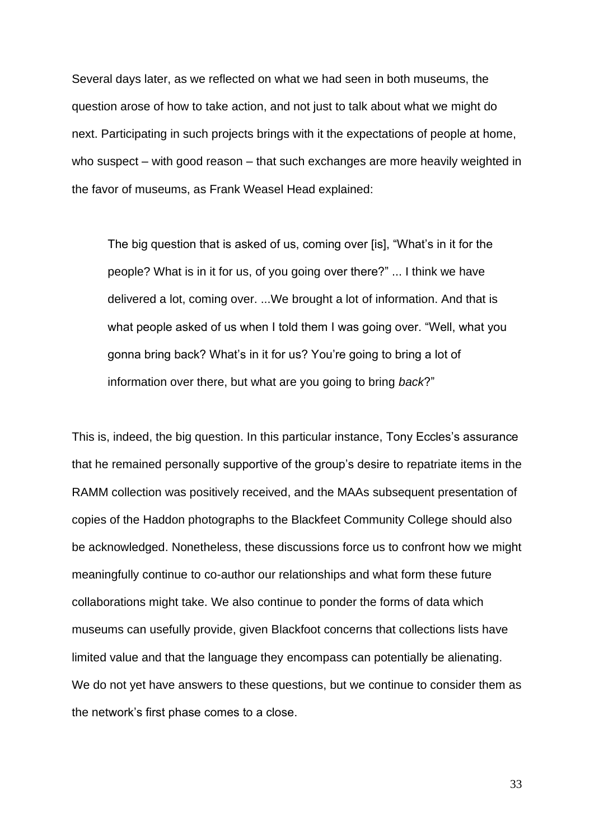Several days later, as we reflected on what we had seen in both museums, the question arose of how to take action, and not just to talk about what we might do next. Participating in such projects brings with it the expectations of people at home, who suspect – with good reason – that such exchanges are more heavily weighted in the favor of museums, as Frank Weasel Head explained:

The big question that is asked of us, coming over [is], "What's in it for the people? What is in it for us, of you going over there?" ... I think we have delivered a lot, coming over. ...We brought a lot of information. And that is what people asked of us when I told them I was going over. "Well, what you gonna bring back? What's in it for us? You're going to bring a lot of information over there, but what are you going to bring *back*?"

This is, indeed, the big question. In this particular instance, Tony Eccles's assurance that he remained personally supportive of the group's desire to repatriate items in the RAMM collection was positively received, and the MAAs subsequent presentation of copies of the Haddon photographs to the Blackfeet Community College should also be acknowledged. Nonetheless, these discussions force us to confront how we might meaningfully continue to co-author our relationships and what form these future collaborations might take. We also continue to ponder the forms of data which museums can usefully provide, given Blackfoot concerns that collections lists have limited value and that the language they encompass can potentially be alienating. We do not yet have answers to these questions, but we continue to consider them as the network's first phase comes to a close.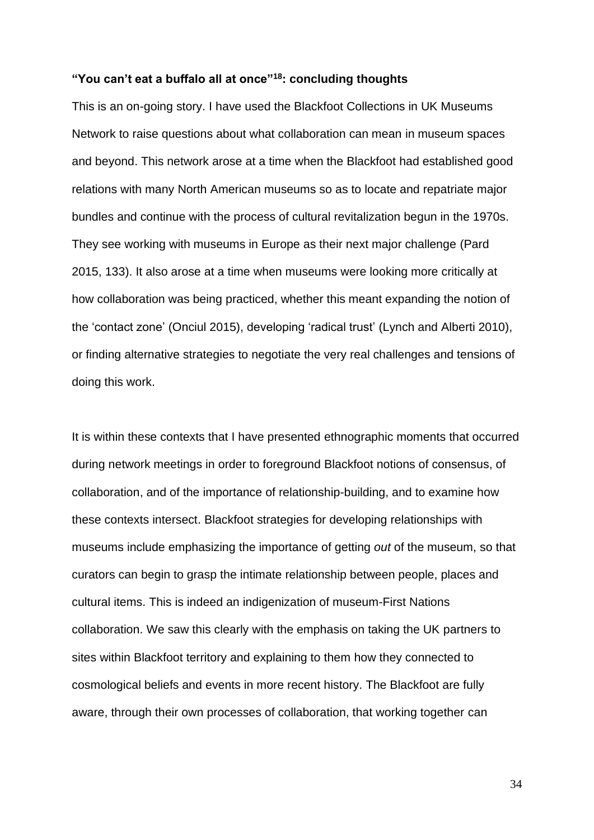### **"You can't eat a buffalo all at once"<sup>18</sup>: concluding thoughts**

This is an on-going story. I have used the Blackfoot Collections in UK Museums Network to raise questions about what collaboration can mean in museum spaces and beyond. This network arose at a time when the Blackfoot had established good relations with many North American museums so as to locate and repatriate major bundles and continue with the process of cultural revitalization begun in the 1970s. They see working with museums in Europe as their next major challenge (Pard 2015, 133). It also arose at a time when museums were looking more critically at how collaboration was being practiced, whether this meant expanding the notion of the 'contact zone' (Onciul 2015), developing 'radical trust' (Lynch and Alberti 2010), or finding alternative strategies to negotiate the very real challenges and tensions of doing this work.

It is within these contexts that I have presented ethnographic moments that occurred during network meetings in order to foreground Blackfoot notions of consensus, of collaboration, and of the importance of relationship-building, and to examine how these contexts intersect. Blackfoot strategies for developing relationships with museums include emphasizing the importance of getting *out* of the museum, so that curators can begin to grasp the intimate relationship between people, places and cultural items. This is indeed an indigenization of museum-First Nations collaboration. We saw this clearly with the emphasis on taking the UK partners to sites within Blackfoot territory and explaining to them how they connected to cosmological beliefs and events in more recent history. The Blackfoot are fully aware, through their own processes of collaboration, that working together can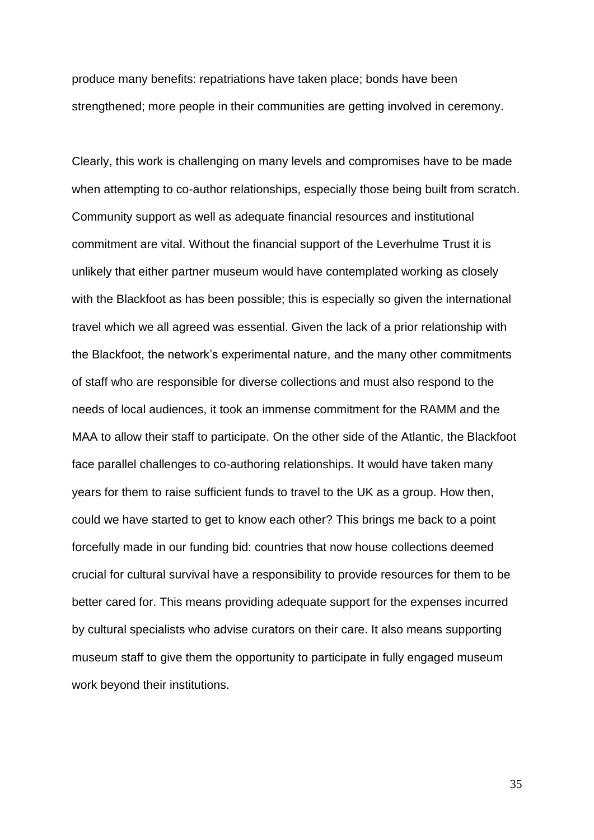produce many benefits: repatriations have taken place; bonds have been strengthened; more people in their communities are getting involved in ceremony.

Clearly, this work is challenging on many levels and compromises have to be made when attempting to co-author relationships, especially those being built from scratch. Community support as well as adequate financial resources and institutional commitment are vital. Without the financial support of the Leverhulme Trust it is unlikely that either partner museum would have contemplated working as closely with the Blackfoot as has been possible; this is especially so given the international travel which we all agreed was essential. Given the lack of a prior relationship with the Blackfoot, the network's experimental nature, and the many other commitments of staff who are responsible for diverse collections and must also respond to the needs of local audiences, it took an immense commitment for the RAMM and the MAA to allow their staff to participate. On the other side of the Atlantic, the Blackfoot face parallel challenges to co-authoring relationships. It would have taken many years for them to raise sufficient funds to travel to the UK as a group. How then, could we have started to get to know each other? This brings me back to a point forcefully made in our funding bid: countries that now house collections deemed crucial for cultural survival have a responsibility to provide resources for them to be better cared for. This means providing adequate support for the expenses incurred by cultural specialists who advise curators on their care. It also means supporting museum staff to give them the opportunity to participate in fully engaged museum work beyond their institutions.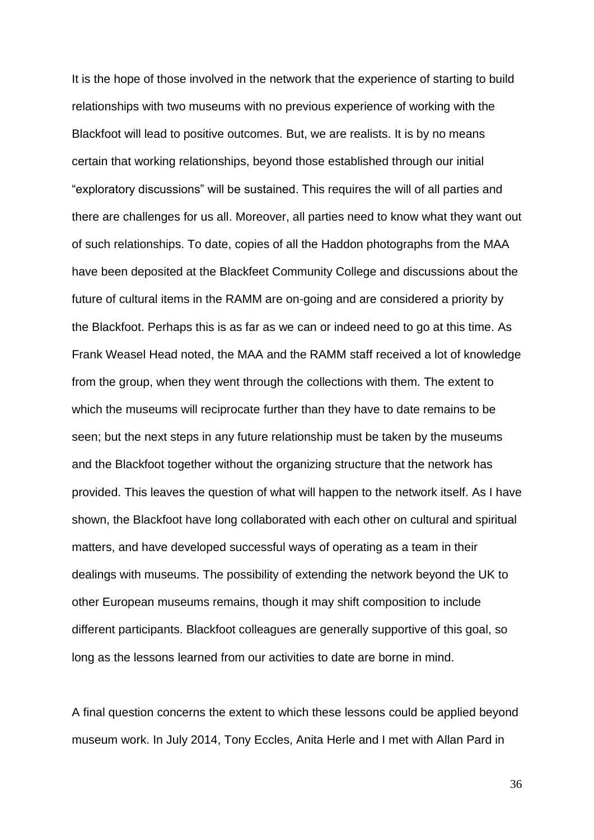It is the hope of those involved in the network that the experience of starting to build relationships with two museums with no previous experience of working with the Blackfoot will lead to positive outcomes. But, we are realists. It is by no means certain that working relationships, beyond those established through our initial "exploratory discussions" will be sustained. This requires the will of all parties and there are challenges for us all. Moreover, all parties need to know what they want out of such relationships. To date, copies of all the Haddon photographs from the MAA have been deposited at the Blackfeet Community College and discussions about the future of cultural items in the RAMM are on-going and are considered a priority by the Blackfoot. Perhaps this is as far as we can or indeed need to go at this time. As Frank Weasel Head noted, the MAA and the RAMM staff received a lot of knowledge from the group, when they went through the collections with them. The extent to which the museums will reciprocate further than they have to date remains to be seen; but the next steps in any future relationship must be taken by the museums and the Blackfoot together without the organizing structure that the network has provided. This leaves the question of what will happen to the network itself. As I have shown, the Blackfoot have long collaborated with each other on cultural and spiritual matters, and have developed successful ways of operating as a team in their dealings with museums. The possibility of extending the network beyond the UK to other European museums remains, though it may shift composition to include different participants. Blackfoot colleagues are generally supportive of this goal, so long as the lessons learned from our activities to date are borne in mind.

A final question concerns the extent to which these lessons could be applied beyond museum work. In July 2014, Tony Eccles, Anita Herle and I met with Allan Pard in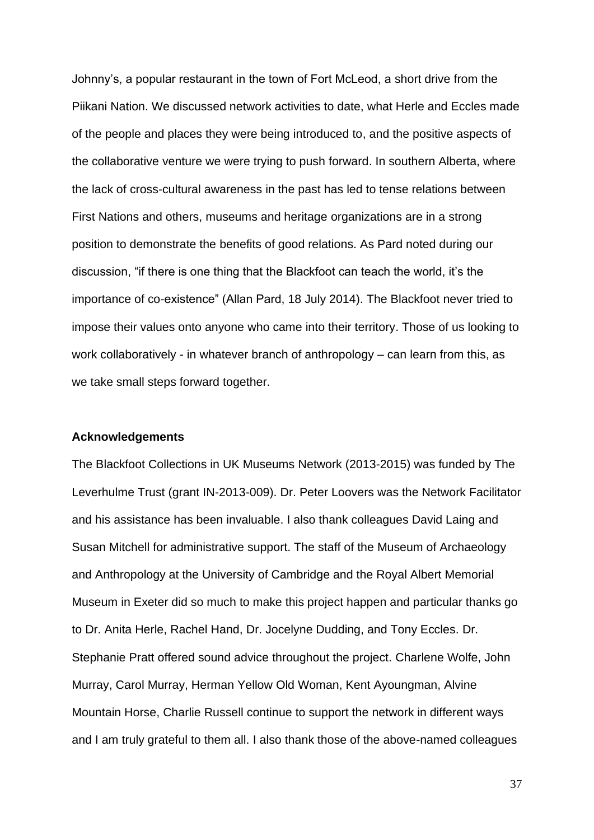Johnny's, a popular restaurant in the town of Fort McLeod, a short drive from the Piikani Nation. We discussed network activities to date, what Herle and Eccles made of the people and places they were being introduced to, and the positive aspects of the collaborative venture we were trying to push forward. In southern Alberta, where the lack of cross-cultural awareness in the past has led to tense relations between First Nations and others, museums and heritage organizations are in a strong position to demonstrate the benefits of good relations. As Pard noted during our discussion, "if there is one thing that the Blackfoot can teach the world, it's the importance of co-existence" (Allan Pard, 18 July 2014). The Blackfoot never tried to impose their values onto anyone who came into their territory. Those of us looking to work collaboratively - in whatever branch of anthropology – can learn from this, as we take small steps forward together.

#### **Acknowledgements**

The Blackfoot Collections in UK Museums Network (2013-2015) was funded by The Leverhulme Trust (grant IN-2013-009). Dr. Peter Loovers was the Network Facilitator and his assistance has been invaluable. I also thank colleagues David Laing and Susan Mitchell for administrative support. The staff of the Museum of Archaeology and Anthropology at the University of Cambridge and the Royal Albert Memorial Museum in Exeter did so much to make this project happen and particular thanks go to Dr. Anita Herle, Rachel Hand, Dr. Jocelyne Dudding, and Tony Eccles. Dr. Stephanie Pratt offered sound advice throughout the project. Charlene Wolfe, John Murray, Carol Murray, Herman Yellow Old Woman, Kent Ayoungman, Alvine Mountain Horse, Charlie Russell continue to support the network in different ways and I am truly grateful to them all. I also thank those of the above-named colleagues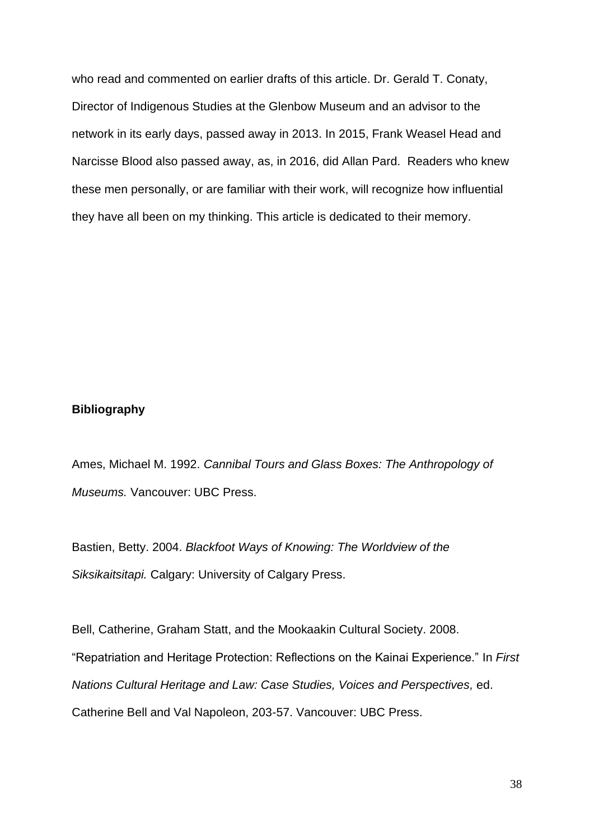who read and commented on earlier drafts of this article. Dr. Gerald T. Conaty, Director of Indigenous Studies at the Glenbow Museum and an advisor to the network in its early days, passed away in 2013. In 2015, Frank Weasel Head and Narcisse Blood also passed away, as, in 2016, did Allan Pard. Readers who knew these men personally, or are familiar with their work, will recognize how influential they have all been on my thinking. This article is dedicated to their memory.

# **Bibliography**

Ames, Michael M. 1992. *Cannibal Tours and Glass Boxes: The Anthropology of Museums.* Vancouver: UBC Press.

Bastien, Betty. 2004. *Blackfoot Ways of Knowing: The Worldview of the Siksikaitsitapi.* Calgary: University of Calgary Press.

Bell, Catherine, Graham Statt, and the Mookaakin Cultural Society. 2008. "Repatriation and Heritage Protection: Reflections on the Kainai Experience." In *First Nations Cultural Heritage and Law: Case Studies, Voices and Perspectives,* ed. Catherine Bell and Val Napoleon, 203-57. Vancouver: UBC Press.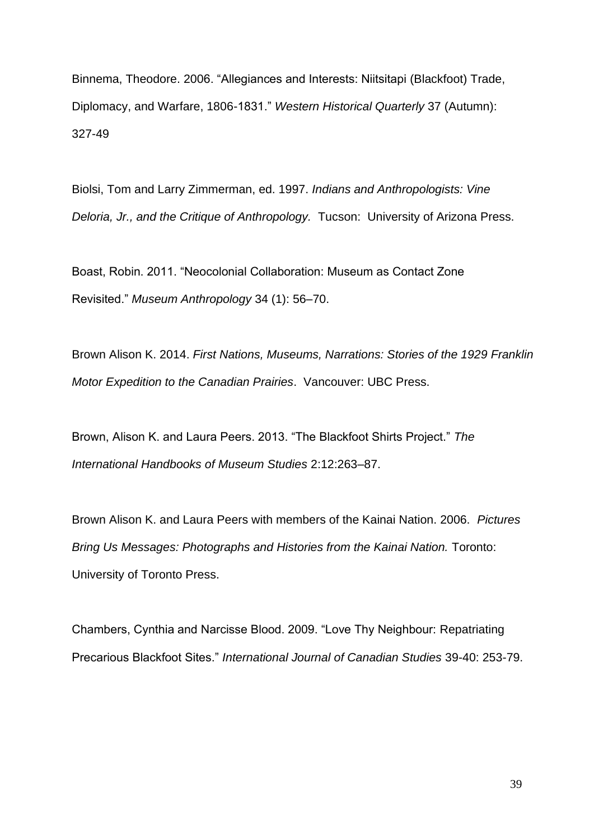Binnema, Theodore. 2006. "Allegiances and Interests: Niitsitapi (Blackfoot) Trade, Diplomacy, and Warfare, 1806-1831." *Western Historical Quarterly* 37 (Autumn): 327-49

Biolsi, Tom and Larry Zimmerman, ed. 1997. *Indians and Anthropologists: Vine Deloria, Jr., and the Critique of Anthropology.* Tucson: University of Arizona Press.

Boast, Robin. 2011. "Neocolonial Collaboration: Museum as Contact Zone Revisited." *Museum Anthropology* 34 (1): 56–70.

Brown Alison K. 2014. *First Nations, Museums, Narrations: Stories of the 1929 Franklin Motor Expedition to the Canadian Prairies*. Vancouver: UBC Press.

Brown, Alison K. and Laura Peers. 2013. "The Blackfoot Shirts Project." *The International Handbooks of Museum Studies* 2:12:263–87.

Brown Alison K. and Laura Peers with members of the Kainai Nation. 2006. *Pictures Bring Us Messages: Photographs and Histories from the Kainai Nation.* Toronto: University of Toronto Press.

Chambers, Cynthia and Narcisse Blood. 2009. "Love Thy Neighbour: Repatriating Precarious Blackfoot Sites." *International Journal of Canadian Studies* 39-40: 253-79.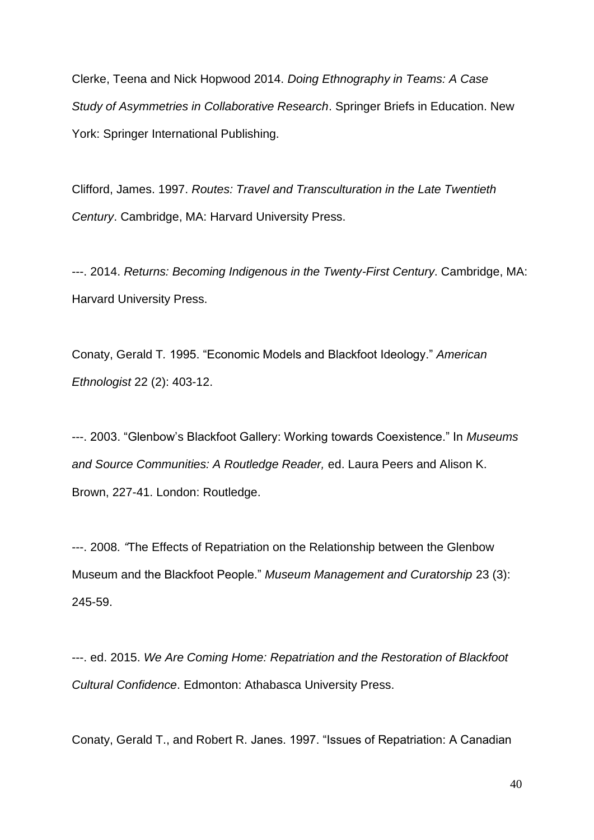Clerke, Teena and Nick Hopwood 2014. *Doing Ethnography in Teams: A Case Study of Asymmetries in Collaborative Research*. Springer Briefs in Education. New York: Springer International Publishing.

Clifford, James. 1997. *Routes: Travel and Transculturation in the Late Twentieth Century*. Cambridge, MA: Harvard University Press.

---. 2014. *Returns: Becoming Indigenous in the Twenty-First Century*. Cambridge, MA: Harvard University Press.

Conaty, Gerald T*.* 1995. "Economic Models and Blackfoot Ideology." *American Ethnologist* 22 (2): 403-12.

---. 2003. "Glenbow's Blackfoot Gallery: Working towards Coexistence." In *Museums and Source Communities: A Routledge Reader,* ed. Laura Peers and Alison K. Brown, 227-41. London: Routledge.

---. 2008*. "*The Effects of Repatriation on the Relationship between the Glenbow Museum and the Blackfoot People." *Museum Management and Curatorship* 23 (3): 245-59.

---. ed. 2015. *We Are Coming Home: Repatriation and the Restoration of Blackfoot Cultural Confidence*. Edmonton: Athabasca University Press.

Conaty, Gerald T., and Robert R. Janes. 1997. "Issues of Repatriation: A Canadian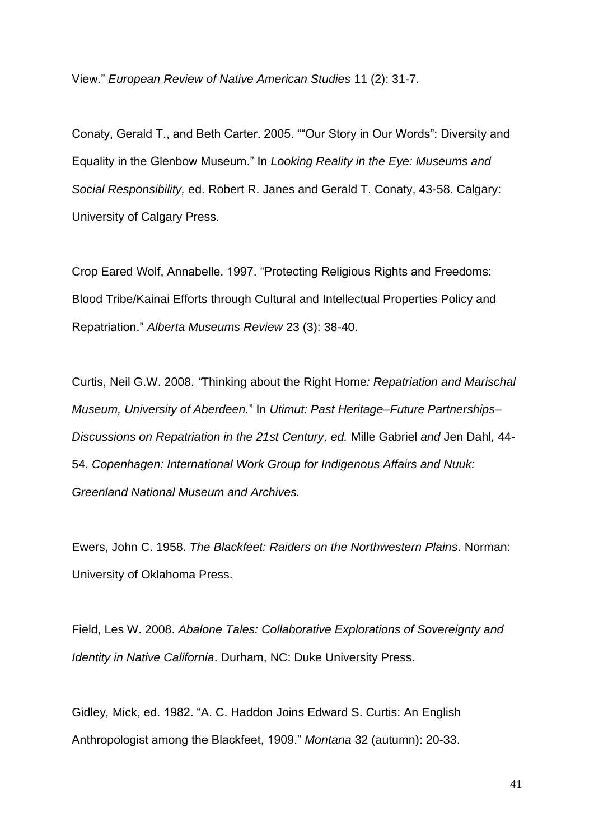View." *European Review of Native American Studies* 11 (2): 31-7.

Conaty, Gerald T., and Beth Carter. 2005. ""Our Story in Our Words": Diversity and Equality in the Glenbow Museum." In *Looking Reality in the Eye: Museums and Social Responsibility,* ed. Robert R. Janes and Gerald T. Conaty, 43-58. Calgary: University of Calgary Press.

Crop Eared Wolf, Annabelle. 1997. "Protecting Religious Rights and Freedoms: Blood Tribe/Kainai Efforts through Cultural and Intellectual Properties Policy and Repatriation." *Alberta Museums Review* 23 (3): 38-40.

Curtis, Neil G.W. 2008. *"*Thinking about the Right Home*: Repatriation and Marischal Museum, University of Aberdeen.*" In *Utimut: Past Heritage–Future Partnerships– Discussions on Repatriation in the 21st Century, ed.* Mille Gabriel *and* Jen Dahl*,* 44*-* 54*. Copenhagen: International Work Group for Indigenous Affairs and Nuuk: Greenland National Museum and Archives.*

Ewers, John C. 1958. *The Blackfeet: Raiders on the Northwestern Plains*. Norman: University of Oklahoma Press.

Field, Les W. 2008. *Abalone Tales: Collaborative Explorations of Sovereignty and Identity in Native California*. Durham, NC: Duke University Press.

Gidley*,* Mick, ed. 1982. "A. C. Haddon Joins Edward S. Curtis: An English Anthropologist among the Blackfeet, 1909." *Montana* 32 (autumn): 20-33.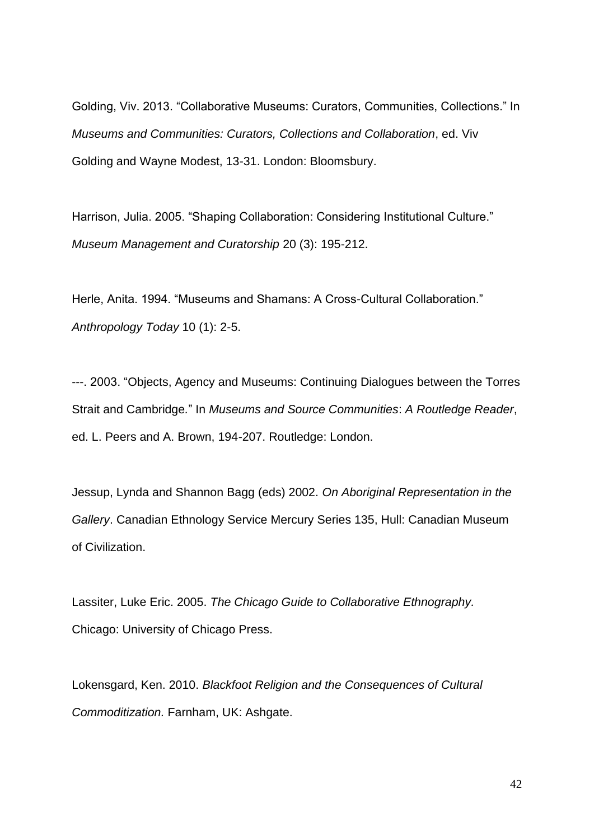Golding, Viv. 2013. "Collaborative Museums: Curators, Communities, Collections." In *Museums and Communities: Curators, Collections and Collaboration*, ed. Viv Golding and Wayne Modest, 13-31. London: Bloomsbury.

Harrison, Julia. 2005. "Shaping Collaboration: Considering Institutional Culture." *Museum Management and Curatorship* 20 (3): 195-212.

Herle, Anita. 1994. "Museums and Shamans: A Cross-Cultural Collaboration." *Anthropology Today* 10 (1): 2-5.

---. 2003. "Objects, Agency and Museums: Continuing Dialogues between the Torres Strait and Cambridge*.*" In *Museums and Source Communities*: *A Routledge Reader*, ed. L. Peers and A. Brown, 194-207. Routledge: London.

Jessup, Lynda and Shannon Bagg (eds) 2002. *On Aboriginal Representation in the Gallery*. Canadian Ethnology Service Mercury Series 135, Hull: Canadian Museum of Civilization.

Lassiter, Luke Eric. 2005. *The Chicago Guide to Collaborative Ethnography.* Chicago: University of Chicago Press.

Lokensgard, Ken. 2010. *Blackfoot Religion and the Consequences of Cultural Commoditization.* Farnham, UK: Ashgate.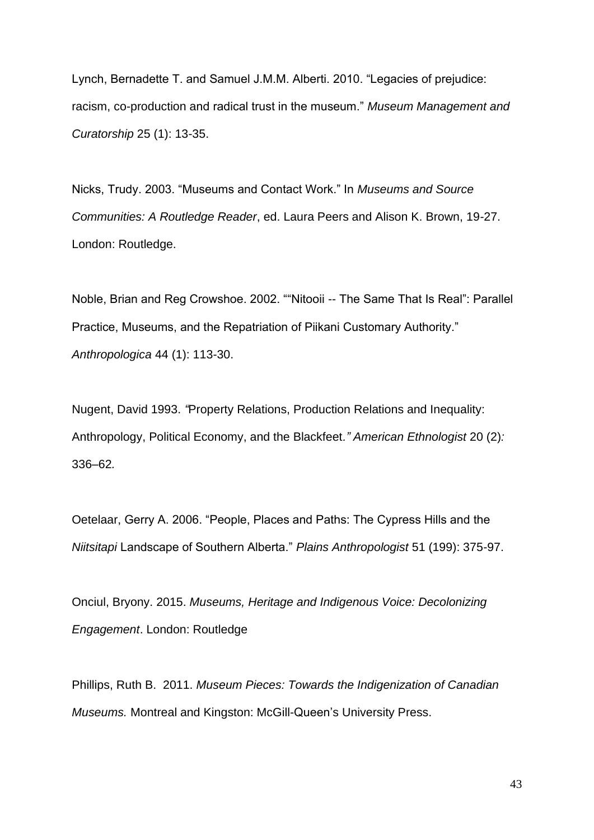Lynch, Bernadette T. and Samuel J.M.M. Alberti. 2010. "Legacies of prejudice: racism, co-production and radical trust in the museum." *Museum Management and Curatorship* 25 (1): 13-35.

Nicks, Trudy. 2003. "Museums and Contact Work." In *Museums and Source Communities: A Routledge Reader*, ed. Laura Peers and Alison K. Brown, 19-27. London: Routledge.

Noble, Brian and Reg Crowshoe. 2002. ""Nitooii -- The Same That Is Real": Parallel Practice, Museums, and the Repatriation of Piikani Customary Authority." *Anthropologica* 44 (1): 113-30.

Nugent, David 1993. *"*Property Relations, Production Relations and Inequality: Anthropology, Political Economy, and the Blackfeet*." American Ethnologist* 20 (2)*:*  336*–*62*.*

Oetelaar, Gerry A. 2006. "People, Places and Paths: The Cypress Hills and the *Niitsitapi* Landscape of Southern Alberta." *Plains Anthropologist* 51 (199): 375-97.

Onciul, Bryony. 2015. *Museums, Heritage and Indigenous Voice: Decolonizing Engagement*. London: Routledge

Phillips, Ruth B. 2011. *Museum Pieces: Towards the Indigenization of Canadian Museums.* Montreal and Kingston: McGill-Queen's University Press.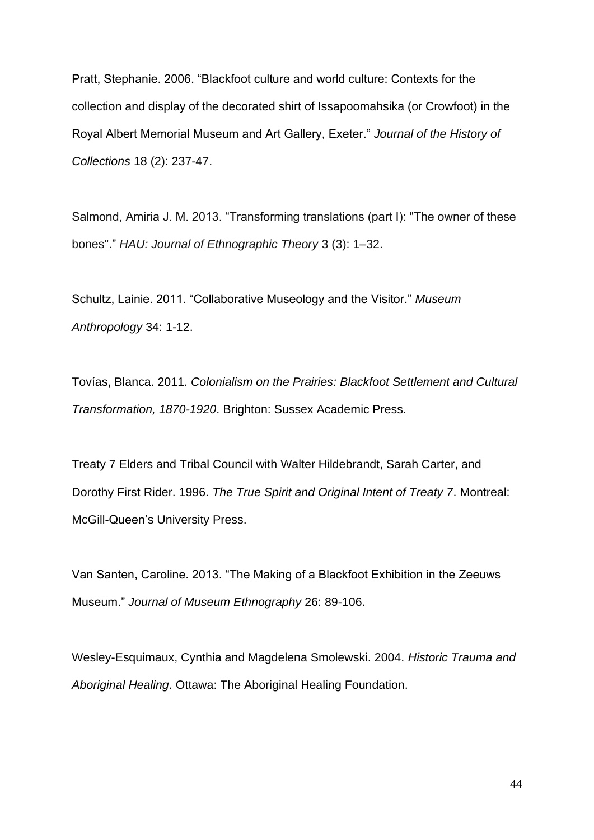Pratt, Stephanie. 2006. "Blackfoot culture and world culture: Contexts for the collection and display of the decorated shirt of Issapoomahsika (or Crowfoot) in the Royal Albert Memorial Museum and Art Gallery, Exeter." *Journal of the History of Collections* 18 (2): 237-47.

Salmond, Amiria J. M. 2013. "Transforming translations (part I): "The owner of these bones"." *HAU: Journal of Ethnographic Theory* 3 (3): 1–32.

Schultz, Lainie. 2011. "Collaborative Museology and the Visitor." *Museum Anthropology* 34: 1-12.

Tovías, Blanca. 2011. *Colonialism on the Prairies: Blackfoot Settlement and Cultural Transformation, 1870-1920*. Brighton: Sussex Academic Press.

Treaty 7 Elders and Tribal Council with Walter Hildebrandt, Sarah Carter, and Dorothy First Rider. 1996. *The True Spirit and Original Intent of Treaty 7*. Montreal: McGill-Queen's University Press.

Van Santen, Caroline. 2013. "The Making of a Blackfoot Exhibition in the Zeeuws Museum." *Journal of Museum Ethnography* 26: 89-106.

Wesley-Esquimaux, Cynthia and Magdelena Smolewski. 2004. *Historic Trauma and Aboriginal Healing*. Ottawa: The Aboriginal Healing Foundation.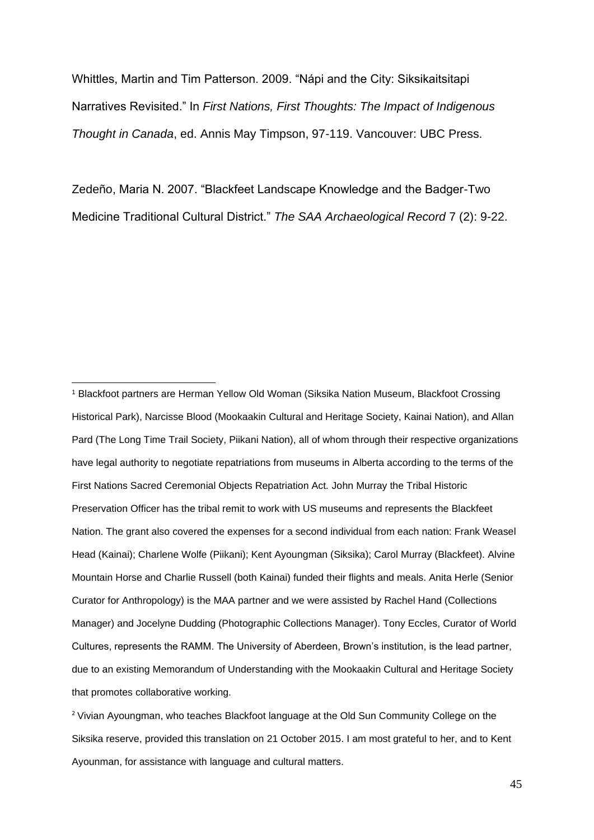Whittles, Martin and Tim Patterson. 2009. "Nápi and the City: Siksikaitsitapi Narratives Revisited." In *First Nations, First Thoughts: The Impact of Indigenous Thought in Canada*, ed. Annis May Timpson, 97-119. Vancouver: UBC Press.

Zedeño, Maria N. 2007. "Blackfeet Landscape Knowledge and the Badger-Two Medicine Traditional Cultural District." *The SAA Archaeological Record* 7 (2): 9-22.

<sup>1</sup> Blackfoot partners are Herman Yellow Old Woman (Siksika Nation Museum, Blackfoot Crossing Historical Park), Narcisse Blood (Mookaakin Cultural and Heritage Society, Kainai Nation), and Allan Pard (The Long Time Trail Society, Piikani Nation), all of whom through their respective organizations have legal authority to negotiate repatriations from museums in Alberta according to the terms of the First Nations Sacred Ceremonial Objects Repatriation Act*.* John Murray the Tribal Historic Preservation Officer has the tribal remit to work with US museums and represents the Blackfeet Nation. The grant also covered the expenses for a second individual from each nation: Frank Weasel Head (Kainai); Charlene Wolfe (Piikani); Kent Ayoungman (Siksika); Carol Murray (Blackfeet). Alvine Mountain Horse and Charlie Russell (both Kainai) funded their flights and meals. Anita Herle (Senior Curator for Anthropology) is the MAA partner and we were assisted by Rachel Hand (Collections Manager) and Jocelyne Dudding (Photographic Collections Manager). Tony Eccles, Curator of World Cultures, represents the RAMM. The University of Aberdeen, Brown's institution, is the lead partner, due to an existing Memorandum of Understanding with the Mookaakin Cultural and Heritage Society that promotes collaborative working.

<sup>2</sup> Vivian Ayoungman, who teaches Blackfoot language at the Old Sun Community College on the Siksika reserve, provided this translation on 21 October 2015. I am most grateful to her, and to Kent Ayounman, for assistance with language and cultural matters.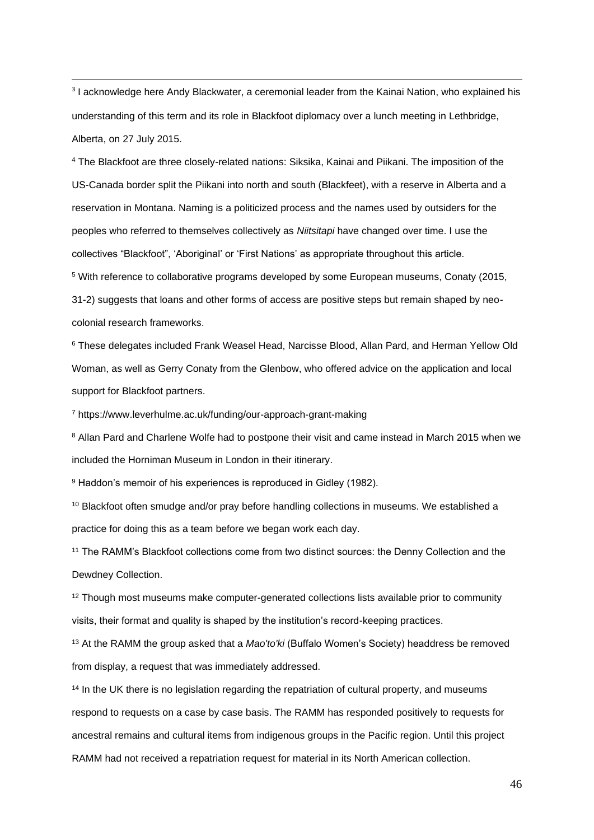<sup>3</sup> I acknowledge here Andy Blackwater, a ceremonial leader from the Kainai Nation, who explained his understanding of this term and its role in Blackfoot diplomacy over a lunch meeting in Lethbridge, Alberta, on 27 July 2015.

<sup>4</sup> The Blackfoot are three closely-related nations: Siksika, Kainai and Piikani. The imposition of the US-Canada border split the Piikani into north and south (Blackfeet), with a reserve in Alberta and a reservation in Montana. Naming is a politicized process and the names used by outsiders for the peoples who referred to themselves collectively as *Niitsitapi* have changed over time. I use the collectives "Blackfoot", 'Aboriginal' or 'First Nations' as appropriate throughout this article. <sup>5</sup> With reference to collaborative programs developed by some European museums, Conaty (2015, 31-2) suggests that loans and other forms of access are positive steps but remain shaped by neocolonial research frameworks.

<sup>6</sup> These delegates included Frank Weasel Head, Narcisse Blood, Allan Pard, and Herman Yellow Old Woman, as well as Gerry Conaty from the Glenbow, who offered advice on the application and local support for Blackfoot partners.

<sup>7</sup> https://www.leverhulme.ac.uk/funding/our-approach-grant-making

<sup>8</sup> Allan Pard and Charlene Wolfe had to postpone their visit and came instead in March 2015 when we included the Horniman Museum in London in their itinerary.

<sup>9</sup> Haddon's memoir of his experiences is reproduced in Gidley (1982).

<sup>10</sup> Blackfoot often smudge and/or pray before handling collections in museums. We established a practice for doing this as a team before we began work each day.

<sup>11</sup> The RAMM's Blackfoot collections come from two distinct sources: the Denny Collection and the Dewdney Collection.

<sup>12</sup> Though most museums make computer-generated collections lists available prior to community visits, their format and quality is shaped by the institution's record-keeping practices.

<sup>13</sup> At the RAMM the group asked that a *Mao'to'ki* (Buffalo Women's Society) headdress be removed from display, a request that was immediately addressed.

<sup>14</sup> In the UK there is no legislation regarding the repatriation of cultural property, and museums respond to requests on a case by case basis. The RAMM has responded positively to requests for ancestral remains and cultural items from indigenous groups in the Pacific region. Until this project RAMM had not received a repatriation request for material in its North American collection.